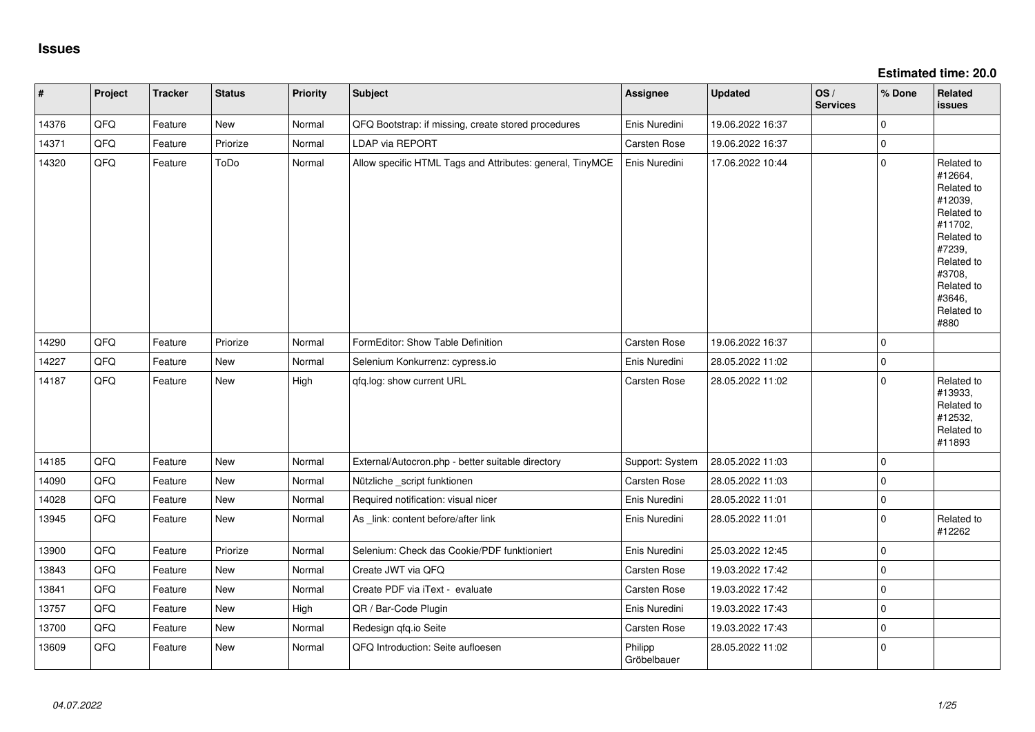**Estimated time: 20.0**

| #     | Project | <b>Tracker</b> | <b>Status</b> | <b>Priority</b> | <b>Subject</b>                                            | Assignee               | <b>Updated</b>   | OS/<br><b>Services</b> | % Done      | Related<br><b>issues</b>                                                                                                                                              |
|-------|---------|----------------|---------------|-----------------|-----------------------------------------------------------|------------------------|------------------|------------------------|-------------|-----------------------------------------------------------------------------------------------------------------------------------------------------------------------|
| 14376 | QFQ     | Feature        | New           | Normal          | QFQ Bootstrap: if missing, create stored procedures       | Enis Nuredini          | 19.06.2022 16:37 |                        | $\mathbf 0$ |                                                                                                                                                                       |
| 14371 | QFQ     | Feature        | Priorize      | Normal          | LDAP via REPORT                                           | Carsten Rose           | 19.06.2022 16:37 |                        | $\mathsf 0$ |                                                                                                                                                                       |
| 14320 | QFQ     | Feature        | ToDo          | Normal          | Allow specific HTML Tags and Attributes: general, TinyMCE | Enis Nuredini          | 17.06.2022 10:44 |                        | $\mathbf 0$ | Related to<br>#12664,<br>Related to<br>#12039,<br>Related to<br>#11702,<br>Related to<br>#7239,<br>Related to<br>#3708,<br>Related to<br>#3646,<br>Related to<br>#880 |
| 14290 | QFQ     | Feature        | Priorize      | Normal          | FormEditor: Show Table Definition                         | Carsten Rose           | 19.06.2022 16:37 |                        | $\mathbf 0$ |                                                                                                                                                                       |
| 14227 | QFQ     | Feature        | <b>New</b>    | Normal          | Selenium Konkurrenz: cypress.io                           | Enis Nuredini          | 28.05.2022 11:02 |                        | $\mathbf 0$ |                                                                                                                                                                       |
| 14187 | QFQ     | Feature        | New           | High            | qfq.log: show current URL                                 | Carsten Rose           | 28.05.2022 11:02 |                        | $\mathbf 0$ | Related to<br>#13933,<br>Related to<br>#12532,<br>Related to<br>#11893                                                                                                |
| 14185 | QFQ     | Feature        | <b>New</b>    | Normal          | External/Autocron.php - better suitable directory         | Support: System        | 28.05.2022 11:03 |                        | $\mathsf 0$ |                                                                                                                                                                       |
| 14090 | QFQ     | Feature        | <b>New</b>    | Normal          | Nützliche _script funktionen                              | Carsten Rose           | 28.05.2022 11:03 |                        | $\mathbf 0$ |                                                                                                                                                                       |
| 14028 | QFQ     | Feature        | <b>New</b>    | Normal          | Required notification: visual nicer                       | Enis Nuredini          | 28.05.2022 11:01 |                        | $\mathbf 0$ |                                                                                                                                                                       |
| 13945 | QFQ     | Feature        | New           | Normal          | As _link: content before/after link                       | Enis Nuredini          | 28.05.2022 11:01 |                        | $\mathbf 0$ | Related to<br>#12262                                                                                                                                                  |
| 13900 | QFQ     | Feature        | Priorize      | Normal          | Selenium: Check das Cookie/PDF funktioniert               | Enis Nuredini          | 25.03.2022 12:45 |                        | $\mathsf 0$ |                                                                                                                                                                       |
| 13843 | QFQ     | Feature        | New           | Normal          | Create JWT via QFQ                                        | Carsten Rose           | 19.03.2022 17:42 |                        | $\mathsf 0$ |                                                                                                                                                                       |
| 13841 | QFQ     | Feature        | <b>New</b>    | Normal          | Create PDF via iText - evaluate                           | Carsten Rose           | 19.03.2022 17:42 |                        | $\mathbf 0$ |                                                                                                                                                                       |
| 13757 | QFQ     | Feature        | New           | High            | QR / Bar-Code Plugin                                      | Enis Nuredini          | 19.03.2022 17:43 |                        | $\mathbf 0$ |                                                                                                                                                                       |
| 13700 | QFQ     | Feature        | New           | Normal          | Redesign qfq.io Seite                                     | Carsten Rose           | 19.03.2022 17:43 |                        | $\mathbf 0$ |                                                                                                                                                                       |
| 13609 | QFQ     | Feature        | New           | Normal          | QFQ Introduction: Seite aufloesen                         | Philipp<br>Gröbelbauer | 28.05.2022 11:02 |                        | $\mathbf 0$ |                                                                                                                                                                       |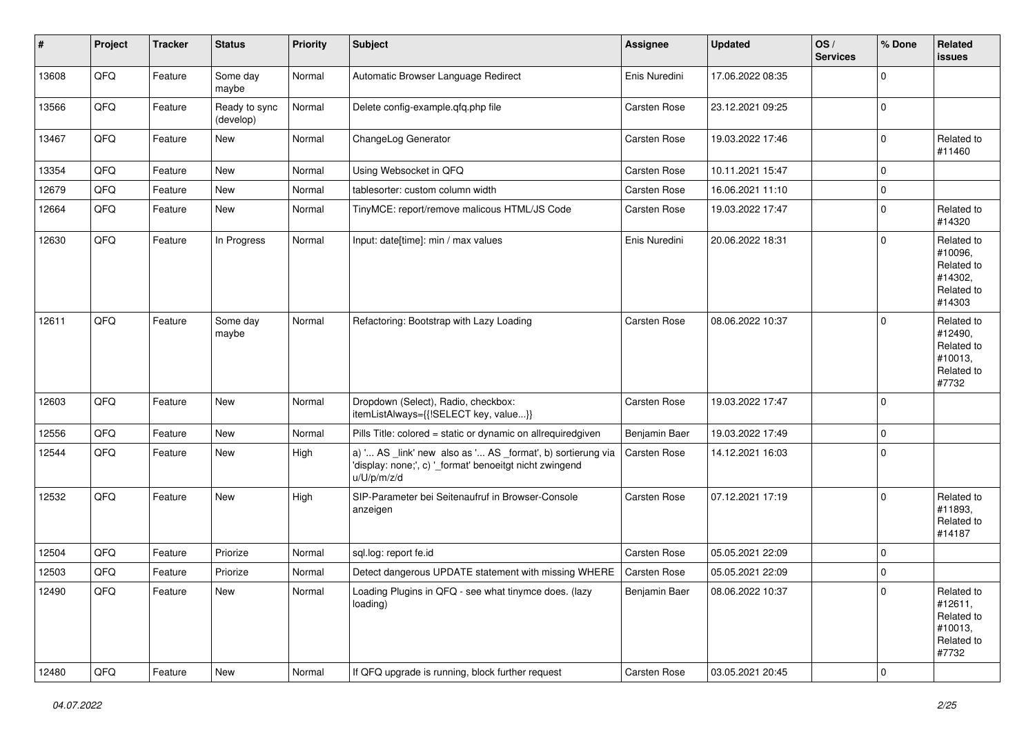| #     | Project | <b>Tracker</b> | <b>Status</b>              | <b>Priority</b> | <b>Subject</b>                                                                                                                        | <b>Assignee</b>     | <b>Updated</b>   | OS/<br><b>Services</b> | % Done      | Related<br>issues                                                      |
|-------|---------|----------------|----------------------------|-----------------|---------------------------------------------------------------------------------------------------------------------------------------|---------------------|------------------|------------------------|-------------|------------------------------------------------------------------------|
| 13608 | QFQ     | Feature        | Some day<br>maybe          | Normal          | Automatic Browser Language Redirect                                                                                                   | Enis Nuredini       | 17.06.2022 08:35 |                        | $\mathbf 0$ |                                                                        |
| 13566 | QFQ     | Feature        | Ready to sync<br>(develop) | Normal          | Delete config-example.qfq.php file                                                                                                    | <b>Carsten Rose</b> | 23.12.2021 09:25 |                        | $\pmb{0}$   |                                                                        |
| 13467 | QFQ     | Feature        | New                        | Normal          | ChangeLog Generator                                                                                                                   | <b>Carsten Rose</b> | 19.03.2022 17:46 |                        | $\pmb{0}$   | Related to<br>#11460                                                   |
| 13354 | QFQ     | Feature        | <b>New</b>                 | Normal          | Using Websocket in QFQ                                                                                                                | <b>Carsten Rose</b> | 10.11.2021 15:47 |                        | $\mathbf 0$ |                                                                        |
| 12679 | QFQ     | Feature        | New                        | Normal          | tablesorter: custom column width                                                                                                      | Carsten Rose        | 16.06.2021 11:10 |                        | $\pmb{0}$   |                                                                        |
| 12664 | QFQ     | Feature        | New                        | Normal          | TinyMCE: report/remove malicous HTML/JS Code                                                                                          | <b>Carsten Rose</b> | 19.03.2022 17:47 |                        | $\mathbf 0$ | Related to<br>#14320                                                   |
| 12630 | QFQ     | Feature        | In Progress                | Normal          | Input: date[time]: min / max values                                                                                                   | Enis Nuredini       | 20.06.2022 18:31 |                        | $\mathbf 0$ | Related to<br>#10096.<br>Related to<br>#14302,<br>Related to<br>#14303 |
| 12611 | QFQ     | Feature        | Some day<br>maybe          | Normal          | Refactoring: Bootstrap with Lazy Loading                                                                                              | Carsten Rose        | 08.06.2022 10:37 |                        | $\mathbf 0$ | Related to<br>#12490,<br>Related to<br>#10013,<br>Related to<br>#7732  |
| 12603 | QFQ     | Feature        | New                        | Normal          | Dropdown (Select), Radio, checkbox:<br>itemListAlways={{!SELECT key, value}}                                                          | Carsten Rose        | 19.03.2022 17:47 |                        | $\mathbf 0$ |                                                                        |
| 12556 | QFQ     | Feature        | <b>New</b>                 | Normal          | Pills Title: colored = static or dynamic on allrequiredgiven                                                                          | Benjamin Baer       | 19.03.2022 17:49 |                        | $\mathbf 0$ |                                                                        |
| 12544 | QFQ     | Feature        | New                        | High            | a) ' AS _link' new also as ' AS _format', b) sortierung via<br>'display: none;', c) '_format' benoeitgt nicht zwingend<br>u/U/p/m/z/d | Carsten Rose        | 14.12.2021 16:03 |                        | $\mathbf 0$ |                                                                        |
| 12532 | QFQ     | Feature        | <b>New</b>                 | High            | SIP-Parameter bei Seitenaufruf in Browser-Console<br>anzeigen                                                                         | <b>Carsten Rose</b> | 07.12.2021 17:19 |                        | $\mathbf 0$ | Related to<br>#11893,<br>Related to<br>#14187                          |
| 12504 | QFQ     | Feature        | Priorize                   | Normal          | sql.log: report fe.id                                                                                                                 | Carsten Rose        | 05.05.2021 22:09 |                        | 0           |                                                                        |
| 12503 | QFQ     | Feature        | Priorize                   | Normal          | Detect dangerous UPDATE statement with missing WHERE   Carsten Rose                                                                   |                     | 05.05.2021 22:09 |                        | 0           |                                                                        |
| 12490 | QFQ     | Feature        | New                        | Normal          | Loading Plugins in QFQ - see what tinymce does. (lazy<br>loading)                                                                     | Benjamin Baer       | 08.06.2022 10:37 |                        | 0           | Related to<br>#12611,<br>Related to<br>#10013,<br>Related to<br>#7732  |
| 12480 | QFQ     | Feature        | New                        | Normal          | If QFQ upgrade is running, block further request                                                                                      | Carsten Rose        | 03.05.2021 20:45 |                        | 0           |                                                                        |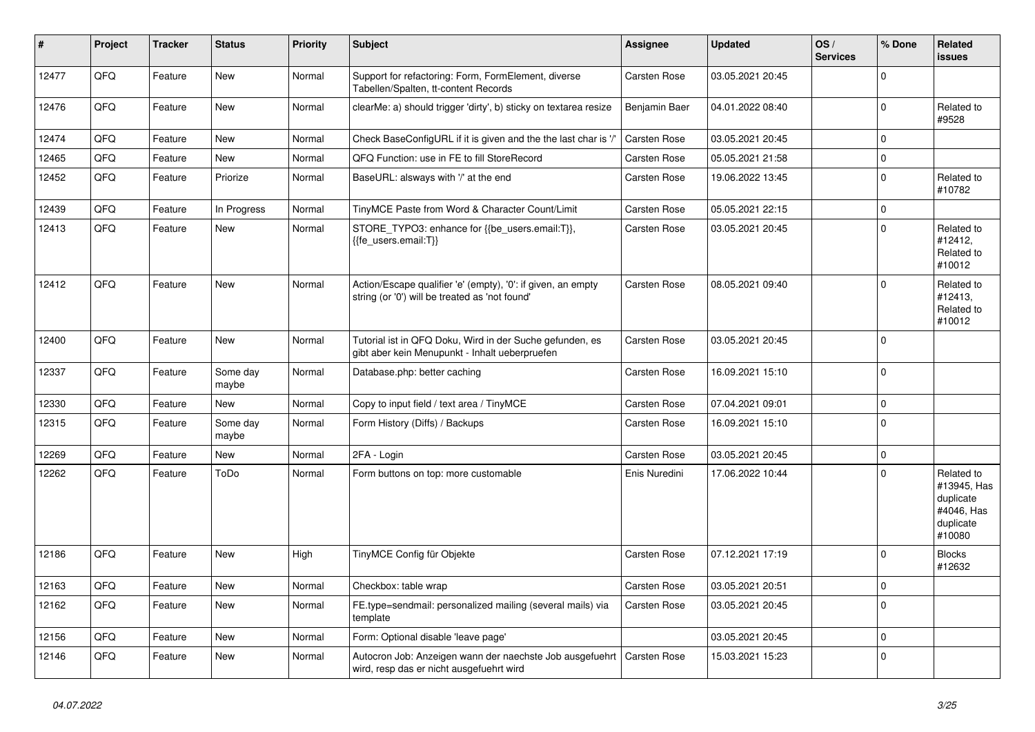| #     | Project | <b>Tracker</b> | <b>Status</b>     | <b>Priority</b> | <b>Subject</b>                                                                                                 | <b>Assignee</b>     | <b>Updated</b>   | OS/<br><b>Services</b> | % Done      | Related<br><b>issues</b>                                                    |
|-------|---------|----------------|-------------------|-----------------|----------------------------------------------------------------------------------------------------------------|---------------------|------------------|------------------------|-------------|-----------------------------------------------------------------------------|
| 12477 | QFQ     | Feature        | <b>New</b>        | Normal          | Support for refactoring: Form, FormElement, diverse<br>Tabellen/Spalten, tt-content Records                    | <b>Carsten Rose</b> | 03.05.2021 20:45 |                        | $\Omega$    |                                                                             |
| 12476 | QFQ     | Feature        | <b>New</b>        | Normal          | clearMe: a) should trigger 'dirty', b) sticky on textarea resize                                               | Benjamin Baer       | 04.01.2022 08:40 |                        | $\Omega$    | Related to<br>#9528                                                         |
| 12474 | QFQ     | Feature        | New               | Normal          | Check BaseConfigURL if it is given and the the last char is '/'                                                | Carsten Rose        | 03.05.2021 20:45 |                        | $\Omega$    |                                                                             |
| 12465 | QFQ     | Feature        | <b>New</b>        | Normal          | QFQ Function: use in FE to fill StoreRecord                                                                    | Carsten Rose        | 05.05.2021 21:58 |                        | $\mathbf 0$ |                                                                             |
| 12452 | QFQ     | Feature        | Priorize          | Normal          | BaseURL: alsways with '/' at the end                                                                           | Carsten Rose        | 19.06.2022 13:45 |                        | $\Omega$    | Related to<br>#10782                                                        |
| 12439 | QFQ     | Feature        | In Progress       | Normal          | TinyMCE Paste from Word & Character Count/Limit                                                                | Carsten Rose        | 05.05.2021 22:15 |                        | 0           |                                                                             |
| 12413 | QFQ     | Feature        | <b>New</b>        | Normal          | STORE TYPO3: enhance for {{be users.email:T}},<br>{{fe users.email:T}}                                         | <b>Carsten Rose</b> | 03.05.2021 20:45 |                        | $\Omega$    | Related to<br>#12412,<br>Related to<br>#10012                               |
| 12412 | QFQ     | Feature        | <b>New</b>        | Normal          | Action/Escape qualifier 'e' (empty), '0': if given, an empty<br>string (or '0') will be treated as 'not found' | Carsten Rose        | 08.05.2021 09:40 |                        | $\Omega$    | Related to<br>#12413,<br>Related to<br>#10012                               |
| 12400 | QFQ     | Feature        | New               | Normal          | Tutorial ist in QFQ Doku, Wird in der Suche gefunden, es<br>gibt aber kein Menupunkt - Inhalt ueberpruefen     | <b>Carsten Rose</b> | 03.05.2021 20:45 |                        | $\Omega$    |                                                                             |
| 12337 | QFQ     | Feature        | Some day<br>maybe | Normal          | Database.php: better caching                                                                                   | Carsten Rose        | 16.09.2021 15:10 |                        | $\Omega$    |                                                                             |
| 12330 | QFQ     | Feature        | <b>New</b>        | Normal          | Copy to input field / text area / TinyMCE                                                                      | Carsten Rose        | 07.04.2021 09:01 |                        | 0           |                                                                             |
| 12315 | QFQ     | Feature        | Some day<br>maybe | Normal          | Form History (Diffs) / Backups                                                                                 | Carsten Rose        | 16.09.2021 15:10 |                        | $\Omega$    |                                                                             |
| 12269 | QFQ     | Feature        | New               | Normal          | 2FA - Login                                                                                                    | Carsten Rose        | 03.05.2021 20:45 |                        | $\Omega$    |                                                                             |
| 12262 | QFQ     | Feature        | ToDo              | Normal          | Form buttons on top: more customable                                                                           | Enis Nuredini       | 17.06.2022 10:44 |                        | $\Omega$    | Related to<br>#13945, Has<br>duplicate<br>#4046, Has<br>duplicate<br>#10080 |
| 12186 | QFQ     | Feature        | <b>New</b>        | High            | TinyMCE Config für Objekte                                                                                     | <b>Carsten Rose</b> | 07.12.2021 17:19 |                        | $\Omega$    | <b>Blocks</b><br>#12632                                                     |
| 12163 | QFQ     | Feature        | New               | Normal          | Checkbox: table wrap                                                                                           | Carsten Rose        | 03.05.2021 20:51 |                        | $\Omega$    |                                                                             |
| 12162 | QFQ     | Feature        | New               | Normal          | FE.type=sendmail: personalized mailing (several mails) via<br>template                                         | <b>Carsten Rose</b> | 03.05.2021 20:45 |                        | $\Omega$    |                                                                             |
| 12156 | QFQ     | Feature        | New               | Normal          | Form: Optional disable 'leave page'                                                                            |                     | 03.05.2021 20:45 |                        | $\Omega$    |                                                                             |
| 12146 | QFQ     | Feature        | New               | Normal          | Autocron Job: Anzeigen wann der naechste Job ausgefuehrt<br>wird, resp das er nicht ausgefuehrt wird           | <b>Carsten Rose</b> | 15.03.2021 15:23 |                        | $\Omega$    |                                                                             |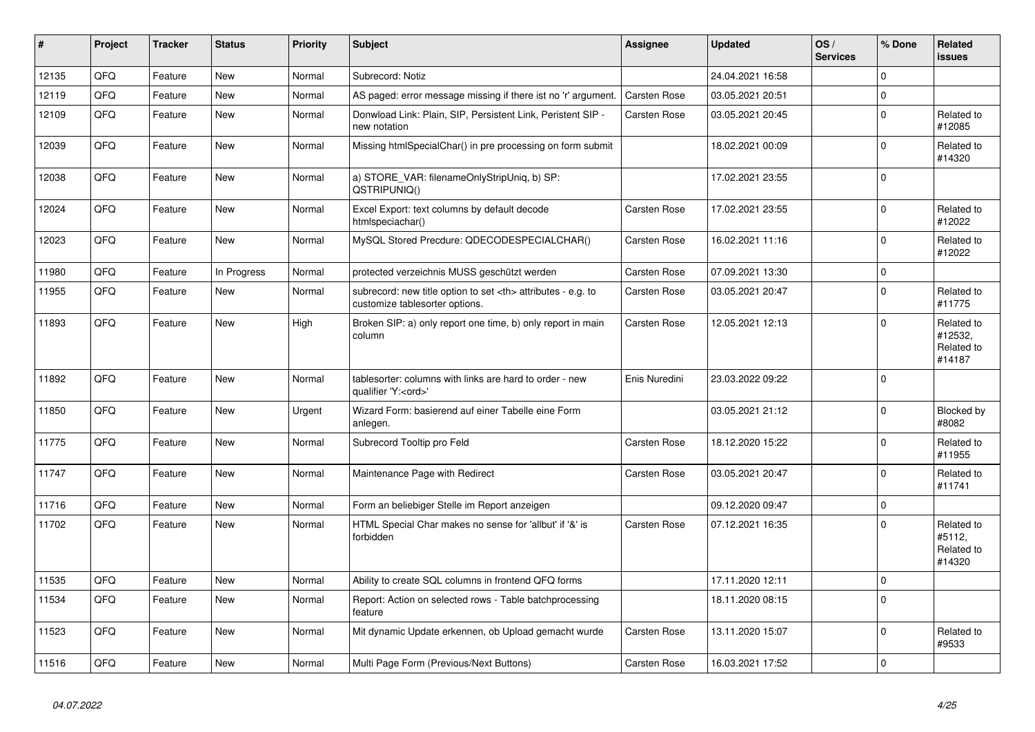| #     | Project | <b>Tracker</b> | <b>Status</b> | <b>Priority</b> | <b>Subject</b>                                                                                       | Assignee                                               | <b>Updated</b>   | OS/<br><b>Services</b> | % Done   | Related<br><b>issues</b>                      |                      |
|-------|---------|----------------|---------------|-----------------|------------------------------------------------------------------------------------------------------|--------------------------------------------------------|------------------|------------------------|----------|-----------------------------------------------|----------------------|
| 12135 | QFQ     | Feature        | <b>New</b>    | Normal          | Subrecord: Notiz                                                                                     |                                                        | 24.04.2021 16:58 |                        | $\Omega$ |                                               |                      |
| 12119 | QFQ     | Feature        | <b>New</b>    | Normal          | AS paged: error message missing if there ist no 'r' argument.                                        | <b>Carsten Rose</b>                                    | 03.05.2021 20:51 |                        | $\Omega$ |                                               |                      |
| 12109 | QFQ     | Feature        | <b>New</b>    | Normal          | Donwload Link: Plain, SIP, Persistent Link, Peristent SIP -<br>new notation                          | Carsten Rose                                           | 03.05.2021 20:45 |                        | $\Omega$ | Related to<br>#12085                          |                      |
| 12039 | QFQ     | Feature        | <b>New</b>    | Normal          | Missing htmlSpecialChar() in pre processing on form submit                                           |                                                        | 18.02.2021 00:09 |                        | $\Omega$ | Related to<br>#14320                          |                      |
| 12038 | QFQ     | Feature        | <b>New</b>    | Normal          | a) STORE VAR: filenameOnlyStripUnig, b) SP:<br>QSTRIPUNIQ()                                          |                                                        | 17.02.2021 23:55 |                        | $\Omega$ |                                               |                      |
| 12024 | QFQ     | Feature        | New           | Normal          | Excel Export: text columns by default decode<br>htmlspeciachar()                                     | Carsten Rose                                           | 17.02.2021 23:55 |                        | 0        | Related to<br>#12022                          |                      |
| 12023 | QFQ     | Feature        | New           | Normal          | MySQL Stored Precdure: QDECODESPECIALCHAR()                                                          | <b>Carsten Rose</b>                                    | 16.02.2021 11:16 |                        | $\Omega$ | Related to<br>#12022                          |                      |
| 11980 | QFQ     | Feature        | In Progress   | Normal          | protected verzeichnis MUSS geschützt werden                                                          | <b>Carsten Rose</b>                                    | 07.09.2021 13:30 |                        | $\Omega$ |                                               |                      |
| 11955 | QFQ     | Feature        | New           | Normal          | subrecord: new title option to set <th> attributes - e.g. to<br/>customize tablesorter options.</th> | attributes - e.g. to<br>customize tablesorter options. | Carsten Rose     | 03.05.2021 20:47       |          | $\Omega$                                      | Related to<br>#11775 |
| 11893 | QFQ     | Feature        | <b>New</b>    | High            | Broken SIP: a) only report one time, b) only report in main<br>column                                | Carsten Rose                                           | 12.05.2021 12:13 |                        | $\Omega$ | Related to<br>#12532,<br>Related to<br>#14187 |                      |
| 11892 | QFQ     | Feature        | New           | Normal          | tablesorter: columns with links are hard to order - new<br>qualifier 'Y: <ord>'</ord>                | Enis Nuredini                                          | 23.03.2022 09:22 |                        | $\Omega$ |                                               |                      |
| 11850 | QFQ     | Feature        | <b>New</b>    | Urgent          | Wizard Form: basierend auf einer Tabelle eine Form<br>anlegen.                                       |                                                        | 03.05.2021 21:12 |                        | $\Omega$ | Blocked by<br>#8082                           |                      |
| 11775 | QFQ     | Feature        | <b>New</b>    | Normal          | Subrecord Tooltip pro Feld                                                                           | Carsten Rose                                           | 18.12.2020 15:22 |                        | $\Omega$ | Related to<br>#11955                          |                      |
| 11747 | QFQ     | Feature        | New           | Normal          | Maintenance Page with Redirect                                                                       | Carsten Rose                                           | 03.05.2021 20:47 |                        | 0        | Related to<br>#11741                          |                      |
| 11716 | QFQ     | Feature        | <b>New</b>    | Normal          | Form an beliebiger Stelle im Report anzeigen                                                         |                                                        | 09.12.2020 09:47 |                        | $\Omega$ |                                               |                      |
| 11702 | QFQ     | Feature        | New           | Normal          | HTML Special Char makes no sense for 'allbut' if '&' is<br>forbidden                                 | <b>Carsten Rose</b>                                    | 07.12.2021 16:35 |                        | $\Omega$ | Related to<br>#5112,<br>Related to<br>#14320  |                      |
| 11535 | QFQ     | Feature        | <b>New</b>    | Normal          | Ability to create SQL columns in frontend QFQ forms                                                  |                                                        | 17.11.2020 12:11 |                        | $\Omega$ |                                               |                      |
| 11534 | QFQ     | Feature        | <b>New</b>    | Normal          | Report: Action on selected rows - Table batchprocessing<br>feature                                   |                                                        | 18.11.2020 08:15 |                        | $\Omega$ |                                               |                      |
| 11523 | QFQ     | Feature        | <b>New</b>    | Normal          | Mit dynamic Update erkennen, ob Upload gemacht wurde                                                 | <b>Carsten Rose</b>                                    | 13.11.2020 15:07 |                        | $\Omega$ | Related to<br>#9533                           |                      |
| 11516 | QFQ     | Feature        | New           | Normal          | Multi Page Form (Previous/Next Buttons)                                                              | <b>Carsten Rose</b>                                    | 16.03.2021 17:52 |                        | $\Omega$ |                                               |                      |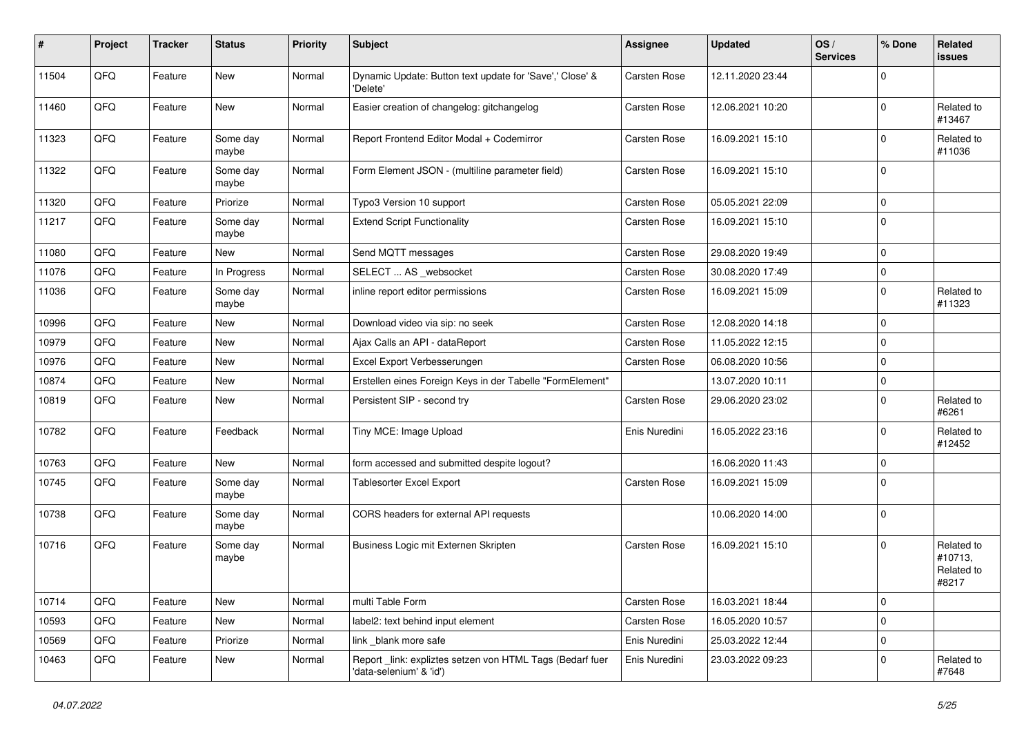| #     | Project | <b>Tracker</b> | <b>Status</b>     | <b>Priority</b> | Subject                                                                             | Assignee      | <b>Updated</b>   | OS/<br><b>Services</b> | % Done      | Related<br>issues                            |
|-------|---------|----------------|-------------------|-----------------|-------------------------------------------------------------------------------------|---------------|------------------|------------------------|-------------|----------------------------------------------|
| 11504 | QFQ     | Feature        | New               | Normal          | Dynamic Update: Button text update for 'Save',' Close' &<br>'Delete'                | Carsten Rose  | 12.11.2020 23:44 |                        | $\Omega$    |                                              |
| 11460 | QFQ     | Feature        | New               | Normal          | Easier creation of changelog: gitchangelog                                          | Carsten Rose  | 12.06.2021 10:20 |                        | $\mathbf 0$ | Related to<br>#13467                         |
| 11323 | QFQ     | Feature        | Some day<br>maybe | Normal          | Report Frontend Editor Modal + Codemirror                                           | Carsten Rose  | 16.09.2021 15:10 |                        | 0           | Related to<br>#11036                         |
| 11322 | QFQ     | Feature        | Some day<br>maybe | Normal          | Form Element JSON - (multiline parameter field)                                     | Carsten Rose  | 16.09.2021 15:10 |                        | $\mathbf 0$ |                                              |
| 11320 | QFQ     | Feature        | Priorize          | Normal          | Typo3 Version 10 support                                                            | Carsten Rose  | 05.05.2021 22:09 |                        | $\mathbf 0$ |                                              |
| 11217 | QFQ     | Feature        | Some day<br>maybe | Normal          | <b>Extend Script Functionality</b>                                                  | Carsten Rose  | 16.09.2021 15:10 |                        | $\mathbf 0$ |                                              |
| 11080 | QFQ     | Feature        | New               | Normal          | Send MQTT messages                                                                  | Carsten Rose  | 29.08.2020 19:49 |                        | $\mathbf 0$ |                                              |
| 11076 | QFQ     | Feature        | In Progress       | Normal          | SELECT  AS _websocket                                                               | Carsten Rose  | 30.08.2020 17:49 |                        | $\mathbf 0$ |                                              |
| 11036 | QFQ     | Feature        | Some day<br>maybe | Normal          | inline report editor permissions                                                    | Carsten Rose  | 16.09.2021 15:09 |                        | $\mathbf 0$ | Related to<br>#11323                         |
| 10996 | QFQ     | Feature        | New               | Normal          | Download video via sip: no seek                                                     | Carsten Rose  | 12.08.2020 14:18 |                        | $\mathbf 0$ |                                              |
| 10979 | QFQ     | Feature        | New               | Normal          | Ajax Calls an API - dataReport                                                      | Carsten Rose  | 11.05.2022 12:15 |                        | $\mathbf 0$ |                                              |
| 10976 | QFQ     | Feature        | New               | Normal          | Excel Export Verbesserungen                                                         | Carsten Rose  | 06.08.2020 10:56 |                        | $\mathbf 0$ |                                              |
| 10874 | QFQ     | Feature        | New               | Normal          | Erstellen eines Foreign Keys in der Tabelle "FormElement"                           |               | 13.07.2020 10:11 |                        | $\mathbf 0$ |                                              |
| 10819 | QFQ     | Feature        | New               | Normal          | Persistent SIP - second try                                                         | Carsten Rose  | 29.06.2020 23:02 |                        | $\Omega$    | Related to<br>#6261                          |
| 10782 | QFQ     | Feature        | Feedback          | Normal          | Tiny MCE: Image Upload                                                              | Enis Nuredini | 16.05.2022 23:16 |                        | $\mathbf 0$ | Related to<br>#12452                         |
| 10763 | QFQ     | Feature        | New               | Normal          | form accessed and submitted despite logout?                                         |               | 16.06.2020 11:43 |                        | $\mathbf 0$ |                                              |
| 10745 | QFQ     | Feature        | Some day<br>maybe | Normal          | <b>Tablesorter Excel Export</b>                                                     | Carsten Rose  | 16.09.2021 15:09 |                        | $\Omega$    |                                              |
| 10738 | QFQ     | Feature        | Some day<br>maybe | Normal          | CORS headers for external API requests                                              |               | 10.06.2020 14:00 |                        | $\Omega$    |                                              |
| 10716 | QFQ     | Feature        | Some day<br>maybe | Normal          | Business Logic mit Externen Skripten                                                | Carsten Rose  | 16.09.2021 15:10 |                        | $\mathbf 0$ | Related to<br>#10713,<br>Related to<br>#8217 |
| 10714 | QFQ     | Feature        | New               | Normal          | multi Table Form                                                                    | Carsten Rose  | 16.03.2021 18:44 |                        | $\mathbf 0$ |                                              |
| 10593 | QFQ     | Feature        | New               | Normal          | label2: text behind input element                                                   | Carsten Rose  | 16.05.2020 10:57 |                        | $\mathbf 0$ |                                              |
| 10569 | QFQ     | Feature        | Priorize          | Normal          | link _blank more safe                                                               | Enis Nuredini | 25.03.2022 12:44 |                        | $\mathbf 0$ |                                              |
| 10463 | QFQ     | Feature        | New               | Normal          | Report link: expliztes setzen von HTML Tags (Bedarf fuer<br>'data-selenium' & 'id') | Enis Nuredini | 23.03.2022 09:23 |                        | $\mathbf 0$ | Related to<br>#7648                          |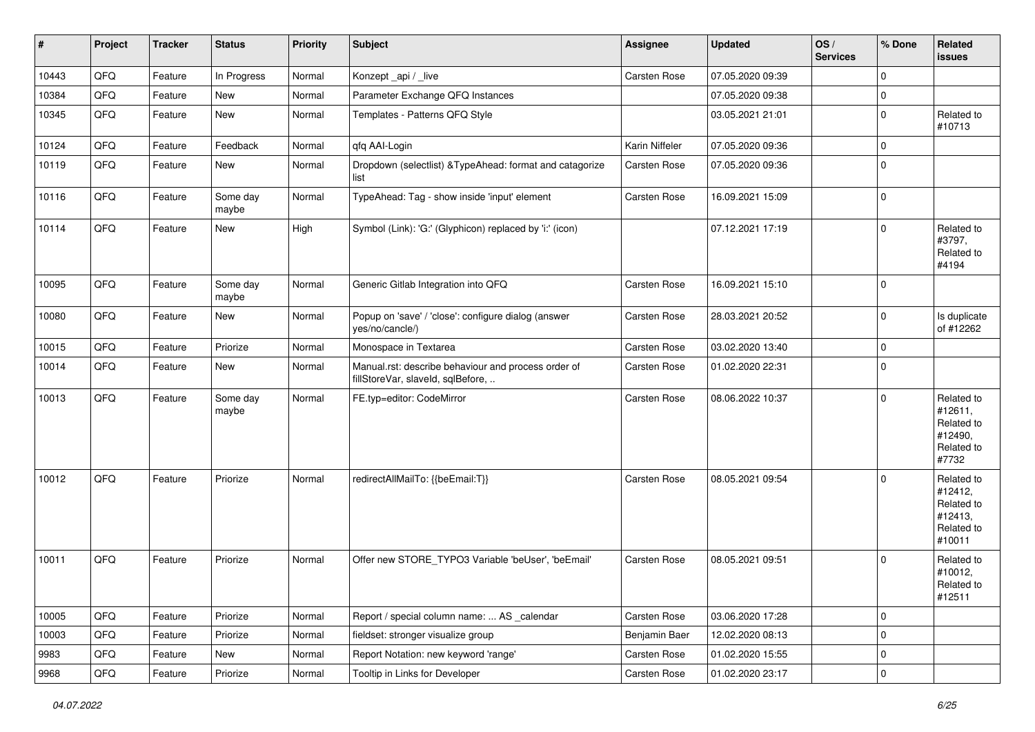| $\sharp$ | Project | <b>Tracker</b> | <b>Status</b>     | <b>Priority</b> | <b>Subject</b>                                                                           | Assignee            | <b>Updated</b>   | OS/<br><b>Services</b> | % Done      | Related<br>issues                                                      |
|----------|---------|----------------|-------------------|-----------------|------------------------------------------------------------------------------------------|---------------------|------------------|------------------------|-------------|------------------------------------------------------------------------|
| 10443    | QFQ     | Feature        | In Progress       | Normal          | Konzept_api / _live                                                                      | <b>Carsten Rose</b> | 07.05.2020 09:39 |                        | $\mathbf 0$ |                                                                        |
| 10384    | QFQ     | Feature        | New               | Normal          | Parameter Exchange QFQ Instances                                                         |                     | 07.05.2020 09:38 |                        | $\pmb{0}$   |                                                                        |
| 10345    | QFQ     | Feature        | New               | Normal          | Templates - Patterns QFQ Style                                                           |                     | 03.05.2021 21:01 |                        | $\mathbf 0$ | Related to<br>#10713                                                   |
| 10124    | QFQ     | Feature        | Feedback          | Normal          | qfq AAI-Login                                                                            | Karin Niffeler      | 07.05.2020 09:36 |                        | $\pmb{0}$   |                                                                        |
| 10119    | QFQ     | Feature        | New               | Normal          | Dropdown (selectlist) & TypeAhead: format and catagorize<br>list                         | <b>Carsten Rose</b> | 07.05.2020 09:36 |                        | $\mathbf 0$ |                                                                        |
| 10116    | QFQ     | Feature        | Some day<br>maybe | Normal          | TypeAhead: Tag - show inside 'input' element                                             | Carsten Rose        | 16.09.2021 15:09 |                        | $\mathbf 0$ |                                                                        |
| 10114    | QFQ     | Feature        | <b>New</b>        | High            | Symbol (Link): 'G:' (Glyphicon) replaced by 'i:' (icon)                                  |                     | 07.12.2021 17:19 |                        | $\mathbf 0$ | Related to<br>#3797,<br>Related to<br>#4194                            |
| 10095    | QFQ     | Feature        | Some day<br>maybe | Normal          | Generic Gitlab Integration into QFQ                                                      | <b>Carsten Rose</b> | 16.09.2021 15:10 |                        | $\mathbf 0$ |                                                                        |
| 10080    | QFQ     | Feature        | <b>New</b>        | Normal          | Popup on 'save' / 'close': configure dialog (answer<br>yes/no/cancle/)                   | Carsten Rose        | 28.03.2021 20:52 |                        | $\mathbf 0$ | Is duplicate<br>of #12262                                              |
| 10015    | QFQ     | Feature        | Priorize          | Normal          | Monospace in Textarea                                                                    | Carsten Rose        | 03.02.2020 13:40 |                        | $\mathbf 0$ |                                                                        |
| 10014    | QFQ     | Feature        | New               | Normal          | Manual.rst: describe behaviour and process order of<br>fillStoreVar, slaveId, sqlBefore, | Carsten Rose        | 01.02.2020 22:31 |                        | $\Omega$    |                                                                        |
| 10013    | QFQ     | Feature        | Some day<br>maybe | Normal          | FE.typ=editor: CodeMirror                                                                | <b>Carsten Rose</b> | 08.06.2022 10:37 |                        | $\mathbf 0$ | Related to<br>#12611,<br>Related to<br>#12490,<br>Related to<br>#7732  |
| 10012    | QFQ     | Feature        | Priorize          | Normal          | redirectAllMailTo: {{beEmail:T}}                                                         | <b>Carsten Rose</b> | 08.05.2021 09:54 |                        | $\mathbf 0$ | Related to<br>#12412,<br>Related to<br>#12413,<br>Related to<br>#10011 |
| 10011    | QFQ     | Feature        | Priorize          | Normal          | Offer new STORE_TYPO3 Variable 'beUser', 'beEmail'                                       | <b>Carsten Rose</b> | 08.05.2021 09:51 |                        | $\mathbf 0$ | Related to<br>#10012,<br>Related to<br>#12511                          |
| 10005    | QFG     | Feature        | Priorize          | Normal          | Report / special column name:  AS _calendar                                              | Carsten Rose        | 03.06.2020 17:28 |                        | $\mathsf 0$ |                                                                        |
| 10003    | QFQ     | Feature        | Priorize          | Normal          | fieldset: stronger visualize group                                                       | Benjamin Baer       | 12.02.2020 08:13 |                        | $\pmb{0}$   |                                                                        |
| 9983     | QFQ     | Feature        | New               | Normal          | Report Notation: new keyword 'range'                                                     | Carsten Rose        | 01.02.2020 15:55 |                        | 0           |                                                                        |
| 9968     | QFG     | Feature        | Priorize          | Normal          | Tooltip in Links for Developer                                                           | Carsten Rose        | 01.02.2020 23:17 |                        | $\pmb{0}$   |                                                                        |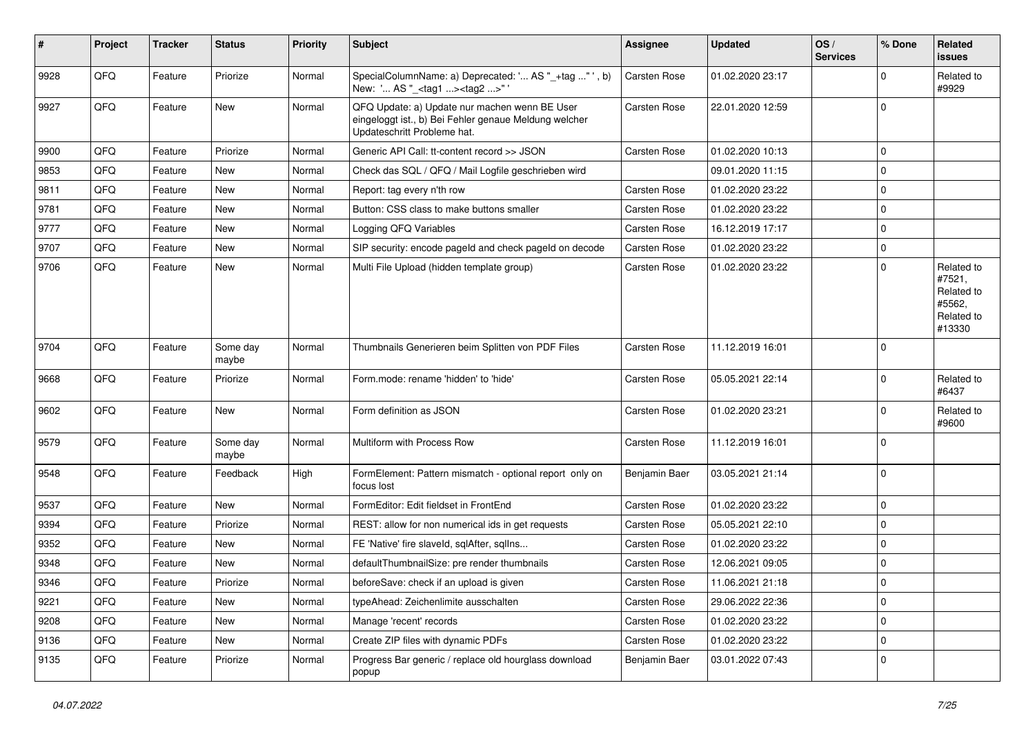| #    | Project | <b>Tracker</b> | <b>Status</b>     | <b>Priority</b> | <b>Subject</b>                                                                                                                        | <b>Assignee</b>     | <b>Updated</b>   | OS/<br><b>Services</b> | % Done      | Related<br>issues                                                    |
|------|---------|----------------|-------------------|-----------------|---------------------------------------------------------------------------------------------------------------------------------------|---------------------|------------------|------------------------|-------------|----------------------------------------------------------------------|
| 9928 | QFQ     | Feature        | Priorize          | Normal          | SpecialColumnName: a) Deprecated: ' AS "_+tag " ', b)<br>New: ' AS "_ <tag1><tag2>"'</tag2></tag1>                                    | <b>Carsten Rose</b> | 01.02.2020 23:17 |                        | $\mathbf 0$ | Related to<br>#9929                                                  |
| 9927 | QFQ     | Feature        | New               | Normal          | QFQ Update: a) Update nur machen wenn BE User<br>eingeloggt ist., b) Bei Fehler genaue Meldung welcher<br>Updateschritt Probleme hat. | <b>Carsten Rose</b> | 22.01.2020 12:59 |                        | $\mathbf 0$ |                                                                      |
| 9900 | QFQ     | Feature        | Priorize          | Normal          | Generic API Call: tt-content record >> JSON                                                                                           | <b>Carsten Rose</b> | 01.02.2020 10:13 |                        | $\mathbf 0$ |                                                                      |
| 9853 | QFQ     | Feature        | <b>New</b>        | Normal          | Check das SQL / QFQ / Mail Logfile geschrieben wird                                                                                   |                     | 09.01.2020 11:15 |                        | $\mathbf 0$ |                                                                      |
| 9811 | QFQ     | Feature        | New               | Normal          | Report: tag every n'th row                                                                                                            | Carsten Rose        | 01.02.2020 23:22 |                        | $\mathbf 0$ |                                                                      |
| 9781 | QFQ     | Feature        | <b>New</b>        | Normal          | Button: CSS class to make buttons smaller                                                                                             | Carsten Rose        | 01.02.2020 23:22 |                        | $\mathbf 0$ |                                                                      |
| 9777 | QFQ     | Feature        | New               | Normal          | Logging QFQ Variables                                                                                                                 | Carsten Rose        | 16.12.2019 17:17 |                        | $\mathbf 0$ |                                                                      |
| 9707 | QFQ     | Feature        | New               | Normal          | SIP security: encode pageld and check pageld on decode                                                                                | <b>Carsten Rose</b> | 01.02.2020 23:22 |                        | $\mathbf 0$ |                                                                      |
| 9706 | QFQ     | Feature        | New               | Normal          | Multi File Upload (hidden template group)                                                                                             | <b>Carsten Rose</b> | 01.02.2020 23:22 |                        | $\mathbf 0$ | Related to<br>#7521,<br>Related to<br>#5562,<br>Related to<br>#13330 |
| 9704 | QFQ     | Feature        | Some day<br>maybe | Normal          | Thumbnails Generieren beim Splitten von PDF Files                                                                                     | Carsten Rose        | 11.12.2019 16:01 |                        | $\mathbf 0$ |                                                                      |
| 9668 | QFQ     | Feature        | Priorize          | Normal          | Form.mode: rename 'hidden' to 'hide'                                                                                                  | <b>Carsten Rose</b> | 05.05.2021 22:14 |                        | $\mathbf 0$ | Related to<br>#6437                                                  |
| 9602 | QFQ     | Feature        | New               | Normal          | Form definition as JSON                                                                                                               | Carsten Rose        | 01.02.2020 23:21 |                        | $\mathbf 0$ | Related to<br>#9600                                                  |
| 9579 | QFQ     | Feature        | Some day<br>maybe | Normal          | Multiform with Process Row                                                                                                            | <b>Carsten Rose</b> | 11.12.2019 16:01 |                        | $\mathbf 0$ |                                                                      |
| 9548 | QFQ     | Feature        | Feedback          | High            | FormElement: Pattern mismatch - optional report only on<br>focus lost                                                                 | Benjamin Baer       | 03.05.2021 21:14 |                        | $\mathbf 0$ |                                                                      |
| 9537 | QFQ     | Feature        | <b>New</b>        | Normal          | FormEditor: Edit fieldset in FrontEnd                                                                                                 | Carsten Rose        | 01.02.2020 23:22 |                        | $\mathbf 0$ |                                                                      |
| 9394 | QFQ     | Feature        | Priorize          | Normal          | REST: allow for non numerical ids in get requests                                                                                     | Carsten Rose        | 05.05.2021 22:10 |                        | $\mathbf 0$ |                                                                      |
| 9352 | QFQ     | Feature        | New               | Normal          | FE 'Native' fire slaveld, sqlAfter, sqlIns                                                                                            | Carsten Rose        | 01.02.2020 23:22 |                        | $\mathbf 0$ |                                                                      |
| 9348 | QFQ     | Feature        | New               | Normal          | defaultThumbnailSize: pre render thumbnails                                                                                           | Carsten Rose        | 12.06.2021 09:05 |                        | $\mathbf 0$ |                                                                      |
| 9346 | QFQ     | Feature        | Priorize          | Normal          | beforeSave: check if an upload is given                                                                                               | <b>Carsten Rose</b> | 11.06.2021 21:18 |                        | $\Omega$    |                                                                      |
| 9221 | QFQ     | Feature        | New               | Normal          | typeAhead: Zeichenlimite ausschalten                                                                                                  | Carsten Rose        | 29.06.2022 22:36 |                        | $\mathbf 0$ |                                                                      |
| 9208 | QFQ     | Feature        | New               | Normal          | Manage 'recent' records                                                                                                               | Carsten Rose        | 01.02.2020 23:22 |                        | $\mathbf 0$ |                                                                      |
| 9136 | QFG     | Feature        | New               | Normal          | Create ZIP files with dynamic PDFs                                                                                                    | Carsten Rose        | 01.02.2020 23:22 |                        | $\mathbf 0$ |                                                                      |
| 9135 | QFQ     | Feature        | Priorize          | Normal          | Progress Bar generic / replace old hourglass download<br>popup                                                                        | Benjamin Baer       | 03.01.2022 07:43 |                        | 0           |                                                                      |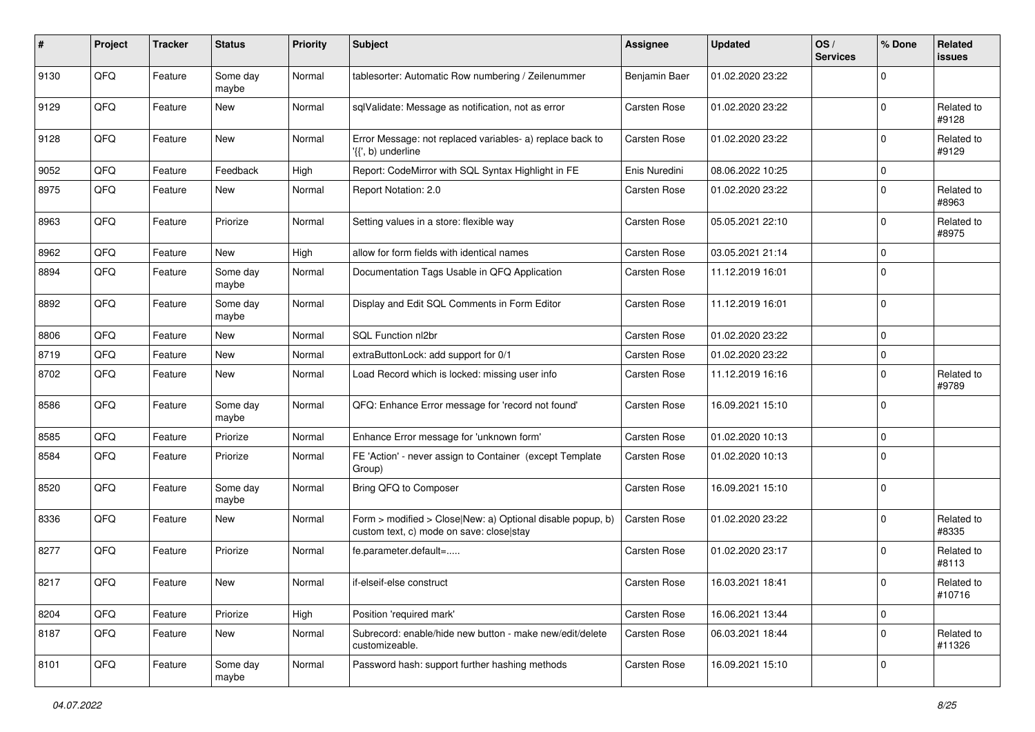| #    | Project | <b>Tracker</b> | <b>Status</b>     | <b>Priority</b> | <b>Subject</b>                                                                                         | <b>Assignee</b>     | <b>Updated</b>   | OS/<br><b>Services</b> | % Done      | Related<br>issues    |
|------|---------|----------------|-------------------|-----------------|--------------------------------------------------------------------------------------------------------|---------------------|------------------|------------------------|-------------|----------------------|
| 9130 | QFQ     | Feature        | Some day<br>maybe | Normal          | tablesorter: Automatic Row numbering / Zeilenummer                                                     | Benjamin Baer       | 01.02.2020 23:22 |                        | $\Omega$    |                      |
| 9129 | QFQ     | Feature        | New               | Normal          | sqlValidate: Message as notification, not as error                                                     | <b>Carsten Rose</b> | 01.02.2020 23:22 |                        | $\Omega$    | Related to<br>#9128  |
| 9128 | QFQ     | Feature        | New               | Normal          | Error Message: not replaced variables- a) replace back to<br>'{{', b) underline                        | <b>Carsten Rose</b> | 01.02.2020 23:22 |                        | $\Omega$    | Related to<br>#9129  |
| 9052 | QFQ     | Feature        | Feedback          | High            | Report: CodeMirror with SQL Syntax Highlight in FE                                                     | Enis Nuredini       | 08.06.2022 10:25 |                        | 0           |                      |
| 8975 | QFQ     | Feature        | New               | Normal          | Report Notation: 2.0                                                                                   | Carsten Rose        | 01.02.2020 23:22 |                        | $\Omega$    | Related to<br>#8963  |
| 8963 | QFQ     | Feature        | Priorize          | Normal          | Setting values in a store: flexible way                                                                | Carsten Rose        | 05.05.2021 22:10 |                        | $\mathbf 0$ | Related to<br>#8975  |
| 8962 | QFQ     | Feature        | New               | High            | allow for form fields with identical names                                                             | <b>Carsten Rose</b> | 03.05.2021 21:14 |                        | $\Omega$    |                      |
| 8894 | QFQ     | Feature        | Some day<br>maybe | Normal          | Documentation Tags Usable in QFQ Application                                                           | <b>Carsten Rose</b> | 11.12.2019 16:01 |                        | $\Omega$    |                      |
| 8892 | QFQ     | Feature        | Some day<br>maybe | Normal          | Display and Edit SQL Comments in Form Editor                                                           | Carsten Rose        | 11.12.2019 16:01 |                        | $\Omega$    |                      |
| 8806 | QFQ     | Feature        | New               | Normal          | SQL Function nl2br                                                                                     | <b>Carsten Rose</b> | 01.02.2020 23:22 |                        | $\mathbf 0$ |                      |
| 8719 | QFQ     | Feature        | New               | Normal          | extraButtonLock: add support for 0/1                                                                   | <b>Carsten Rose</b> | 01.02.2020 23:22 |                        | 0           |                      |
| 8702 | QFQ     | Feature        | New               | Normal          | Load Record which is locked: missing user info                                                         | Carsten Rose        | 11.12.2019 16:16 |                        | $\Omega$    | Related to<br>#9789  |
| 8586 | QFQ     | Feature        | Some day<br>maybe | Normal          | QFQ: Enhance Error message for 'record not found'                                                      | <b>Carsten Rose</b> | 16.09.2021 15:10 |                        | $\Omega$    |                      |
| 8585 | QFQ     | Feature        | Priorize          | Normal          | Enhance Error message for 'unknown form'                                                               | <b>Carsten Rose</b> | 01.02.2020 10:13 |                        | $\mathbf 0$ |                      |
| 8584 | QFQ     | Feature        | Priorize          | Normal          | FE 'Action' - never assign to Container (except Template<br>Group)                                     | <b>Carsten Rose</b> | 01.02.2020 10:13 |                        | $\Omega$    |                      |
| 8520 | QFQ     | Feature        | Some day<br>maybe | Normal          | Bring QFQ to Composer                                                                                  | Carsten Rose        | 16.09.2021 15:10 |                        | $\mathbf 0$ |                      |
| 8336 | QFQ     | Feature        | New               | Normal          | Form > modified > Close New: a) Optional disable popup, b)<br>custom text, c) mode on save: close stay | <b>Carsten Rose</b> | 01.02.2020 23:22 |                        | $\mathbf 0$ | Related to<br>#8335  |
| 8277 | QFQ     | Feature        | Priorize          | Normal          | fe.parameter.default=                                                                                  | <b>Carsten Rose</b> | 01.02.2020 23:17 |                        | $\Omega$    | Related to<br>#8113  |
| 8217 | QFQ     | Feature        | New               | Normal          | if-elseif-else construct                                                                               | Carsten Rose        | 16.03.2021 18:41 |                        | $\mathbf 0$ | Related to<br>#10716 |
| 8204 | QFQ     | Feature        | Priorize          | High            | Position 'required mark'                                                                               | Carsten Rose        | 16.06.2021 13:44 |                        | $\mathbf 0$ |                      |
| 8187 | QFQ     | Feature        | New               | Normal          | Subrecord: enable/hide new button - make new/edit/delete<br>customizeable.                             | Carsten Rose        | 06.03.2021 18:44 |                        | $\mathbf 0$ | Related to<br>#11326 |
| 8101 | QFG     | Feature        | Some day<br>maybe | Normal          | Password hash: support further hashing methods                                                         | Carsten Rose        | 16.09.2021 15:10 |                        | $\mathbf 0$ |                      |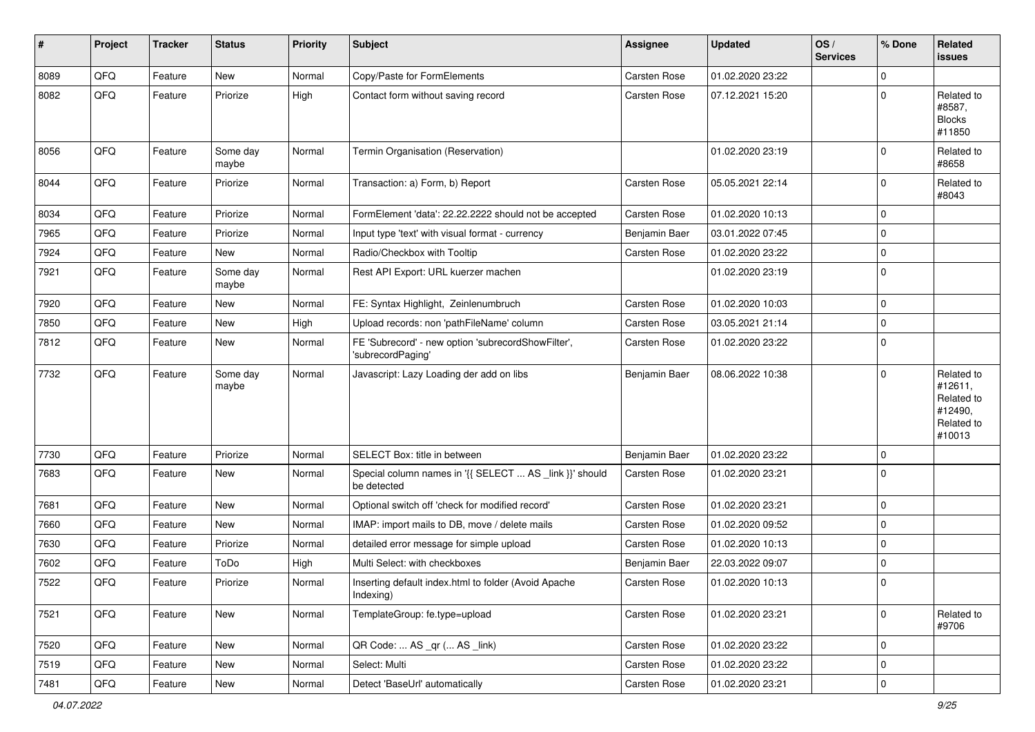| #    | Project | <b>Tracker</b> | <b>Status</b>     | <b>Priority</b> | <b>Subject</b>                                                          | <b>Assignee</b>     | <b>Updated</b>   | OS/<br><b>Services</b> | % Done      | Related<br><b>issues</b>                                               |
|------|---------|----------------|-------------------|-----------------|-------------------------------------------------------------------------|---------------------|------------------|------------------------|-------------|------------------------------------------------------------------------|
| 8089 | QFQ     | Feature        | <b>New</b>        | Normal          | Copy/Paste for FormElements                                             | <b>Carsten Rose</b> | 01.02.2020 23:22 |                        | $\mathbf 0$ |                                                                        |
| 8082 | QFQ     | Feature        | Priorize          | High            | Contact form without saving record                                      | Carsten Rose        | 07.12.2021 15:20 |                        | $\mathbf 0$ | Related to<br>#8587,<br><b>Blocks</b><br>#11850                        |
| 8056 | QFQ     | Feature        | Some day<br>maybe | Normal          | Termin Organisation (Reservation)                                       |                     | 01.02.2020 23:19 |                        | $\mathbf 0$ | Related to<br>#8658                                                    |
| 8044 | QFQ     | Feature        | Priorize          | Normal          | Transaction: a) Form, b) Report                                         | Carsten Rose        | 05.05.2021 22:14 |                        | $\mathbf 0$ | Related to<br>#8043                                                    |
| 8034 | QFQ     | Feature        | Priorize          | Normal          | FormElement 'data': 22.22.2222 should not be accepted                   | Carsten Rose        | 01.02.2020 10:13 |                        | $\mathbf 0$ |                                                                        |
| 7965 | QFQ     | Feature        | Priorize          | Normal          | Input type 'text' with visual format - currency                         | Benjamin Baer       | 03.01.2022 07:45 |                        | $\mathbf 0$ |                                                                        |
| 7924 | QFQ     | Feature        | New               | Normal          | Radio/Checkbox with Tooltip                                             | <b>Carsten Rose</b> | 01.02.2020 23:22 |                        | $\mathbf 0$ |                                                                        |
| 7921 | QFQ     | Feature        | Some day<br>maybe | Normal          | Rest API Export: URL kuerzer machen                                     |                     | 01.02.2020 23:19 |                        | $\mathbf 0$ |                                                                        |
| 7920 | QFQ     | Feature        | <b>New</b>        | Normal          | FE: Syntax Highlight, Zeinlenumbruch                                    | <b>Carsten Rose</b> | 01.02.2020 10:03 |                        | $\mathbf 0$ |                                                                        |
| 7850 | QFQ     | Feature        | New               | High            | Upload records: non 'pathFileName' column                               | Carsten Rose        | 03.05.2021 21:14 |                        | $\mathbf 0$ |                                                                        |
| 7812 | QFQ     | Feature        | New               | Normal          | FE 'Subrecord' - new option 'subrecordShowFilter',<br>'subrecordPaging' | Carsten Rose        | 01.02.2020 23:22 |                        | $\mathbf 0$ |                                                                        |
| 7732 | QFQ     | Feature        | Some day<br>maybe | Normal          | Javascript: Lazy Loading der add on libs                                | Benjamin Baer       | 08.06.2022 10:38 |                        | $\mathbf 0$ | Related to<br>#12611,<br>Related to<br>#12490,<br>Related to<br>#10013 |
| 7730 | QFQ     | Feature        | Priorize          | Normal          | SELECT Box: title in between                                            | Benjamin Baer       | 01.02.2020 23:22 |                        | $\mathbf 0$ |                                                                        |
| 7683 | QFQ     | Feature        | New               | Normal          | Special column names in '{{ SELECT  AS _link }}' should<br>be detected  | <b>Carsten Rose</b> | 01.02.2020 23:21 |                        | $\mathbf 0$ |                                                                        |
| 7681 | QFQ     | Feature        | <b>New</b>        | Normal          | Optional switch off 'check for modified record'                         | Carsten Rose        | 01.02.2020 23:21 |                        | $\mathbf 0$ |                                                                        |
| 7660 | QFQ     | Feature        | New               | Normal          | IMAP: import mails to DB, move / delete mails                           | Carsten Rose        | 01.02.2020 09:52 |                        | $\mathbf 0$ |                                                                        |
| 7630 | QFQ     | Feature        | Priorize          | Normal          | detailed error message for simple upload                                | <b>Carsten Rose</b> | 01.02.2020 10:13 |                        | $\mathbf 0$ |                                                                        |
| 7602 | QFQ     | Feature        | ToDo              | High            | Multi Select: with checkboxes                                           | Benjamin Baer       | 22.03.2022 09:07 |                        | $\mathbf 0$ |                                                                        |
| 7522 | QFQ     | Feature        | Priorize          | Normal          | Inserting default index.html to folder (Avoid Apache<br>Indexing)       | Carsten Rose        | 01.02.2020 10:13 |                        | $\Omega$    |                                                                        |
| 7521 | QFQ     | Feature        | New               | Normal          | TemplateGroup: fe.type=upload                                           | Carsten Rose        | 01.02.2020 23:21 |                        | $\mathbf 0$ | Related to<br>#9706                                                    |
| 7520 | QFQ     | Feature        | New               | Normal          | QR Code:  AS _qr ( AS _link)                                            | Carsten Rose        | 01.02.2020 23:22 |                        | $\mathbf 0$ |                                                                        |
| 7519 | QFQ     | Feature        | New               | Normal          | Select: Multi                                                           | Carsten Rose        | 01.02.2020 23:22 |                        | $\mathsf 0$ |                                                                        |
| 7481 | QFQ     | Feature        | New               | Normal          | Detect 'BaseUrl' automatically                                          | Carsten Rose        | 01.02.2020 23:21 |                        | $\mathsf 0$ |                                                                        |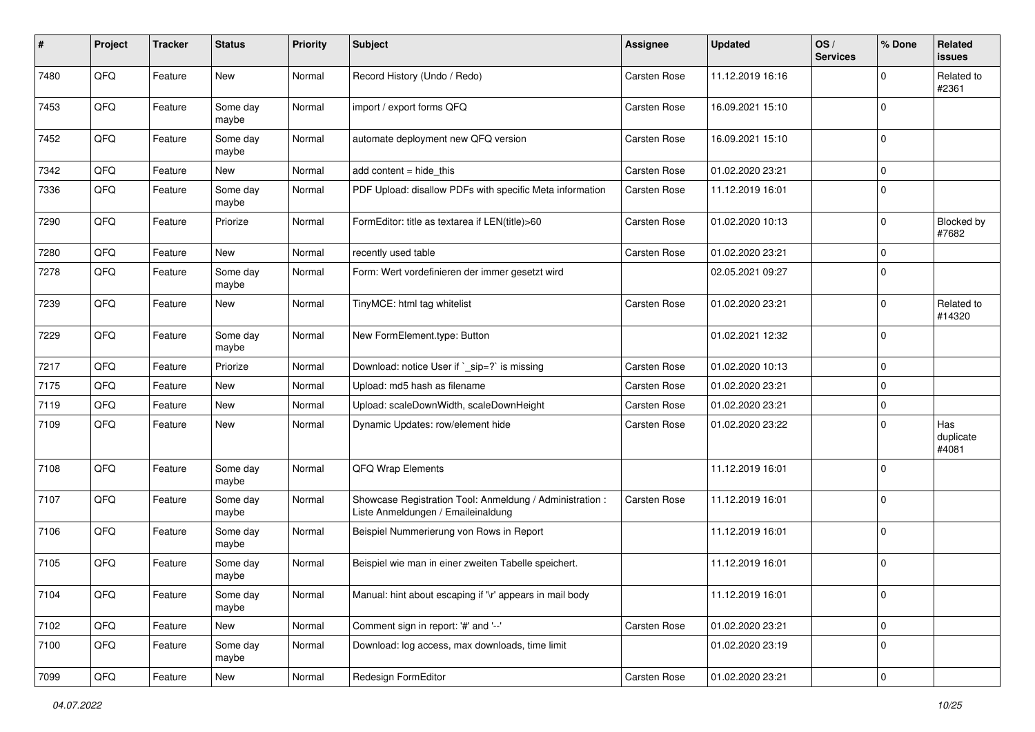| #    | Project | <b>Tracker</b> | <b>Status</b>     | <b>Priority</b> | <b>Subject</b>                                                                                 | <b>Assignee</b>     | Updated          | OS/<br><b>Services</b> | % Done      | <b>Related</b><br><b>issues</b> |
|------|---------|----------------|-------------------|-----------------|------------------------------------------------------------------------------------------------|---------------------|------------------|------------------------|-------------|---------------------------------|
| 7480 | QFQ     | Feature        | New               | Normal          | Record History (Undo / Redo)                                                                   | Carsten Rose        | 11.12.2019 16:16 |                        | $\mathbf 0$ | Related to<br>#2361             |
| 7453 | QFQ     | Feature        | Some day<br>maybe | Normal          | import / export forms QFQ                                                                      | <b>Carsten Rose</b> | 16.09.2021 15:10 |                        | $\mathbf 0$ |                                 |
| 7452 | QFQ     | Feature        | Some day<br>maybe | Normal          | automate deployment new QFQ version                                                            | Carsten Rose        | 16.09.2021 15:10 |                        | $\mathbf 0$ |                                 |
| 7342 | QFQ     | Feature        | <b>New</b>        | Normal          | add content $=$ hide this                                                                      | Carsten Rose        | 01.02.2020 23:21 |                        | $\mathbf 0$ |                                 |
| 7336 | QFQ     | Feature        | Some day<br>maybe | Normal          | PDF Upload: disallow PDFs with specific Meta information                                       | Carsten Rose        | 11.12.2019 16:01 |                        | $\mathbf 0$ |                                 |
| 7290 | QFQ     | Feature        | Priorize          | Normal          | FormEditor: title as textarea if LEN(title)>60                                                 | Carsten Rose        | 01.02.2020 10:13 |                        | $\mathbf 0$ | Blocked by<br>#7682             |
| 7280 | QFQ     | Feature        | New               | Normal          | recently used table                                                                            | Carsten Rose        | 01.02.2020 23:21 |                        | $\mathbf 0$ |                                 |
| 7278 | QFQ     | Feature        | Some day<br>maybe | Normal          | Form: Wert vordefinieren der immer gesetzt wird                                                |                     | 02.05.2021 09:27 |                        | $\mathbf 0$ |                                 |
| 7239 | QFQ     | Feature        | New               | Normal          | TinyMCE: html tag whitelist                                                                    | <b>Carsten Rose</b> | 01.02.2020 23:21 |                        | $\mathbf 0$ | Related to<br>#14320            |
| 7229 | QFQ     | Feature        | Some day<br>maybe | Normal          | New FormElement.type: Button                                                                   |                     | 01.02.2021 12:32 |                        | $\mathbf 0$ |                                 |
| 7217 | QFQ     | Feature        | Priorize          | Normal          | Download: notice User if `_sip=?` is missing                                                   | <b>Carsten Rose</b> | 01.02.2020 10:13 |                        | $\mathbf 0$ |                                 |
| 7175 | QFQ     | Feature        | New               | Normal          | Upload: md5 hash as filename                                                                   | <b>Carsten Rose</b> | 01.02.2020 23:21 |                        | $\mathbf 0$ |                                 |
| 7119 | QFQ     | Feature        | <b>New</b>        | Normal          | Upload: scaleDownWidth, scaleDownHeight                                                        | Carsten Rose        | 01.02.2020 23:21 |                        | $\mathbf 0$ |                                 |
| 7109 | QFQ     | Feature        | New               | Normal          | Dynamic Updates: row/element hide                                                              | Carsten Rose        | 01.02.2020 23:22 |                        | $\mathbf 0$ | Has<br>duplicate<br>#4081       |
| 7108 | QFQ     | Feature        | Some day<br>maybe | Normal          | QFQ Wrap Elements                                                                              |                     | 11.12.2019 16:01 |                        | $\mathbf 0$ |                                 |
| 7107 | QFQ     | Feature        | Some day<br>maybe | Normal          | Showcase Registration Tool: Anmeldung / Administration :<br>Liste Anmeldungen / Emaileinaldung | <b>Carsten Rose</b> | 11.12.2019 16:01 |                        | $\mathbf 0$ |                                 |
| 7106 | QFQ     | Feature        | Some day<br>maybe | Normal          | Beispiel Nummerierung von Rows in Report                                                       |                     | 11.12.2019 16:01 |                        | $\mathbf 0$ |                                 |
| 7105 | QFQ     | Feature        | Some day<br>maybe | Normal          | Beispiel wie man in einer zweiten Tabelle speichert.                                           |                     | 11.12.2019 16:01 |                        | $\mathbf 0$ |                                 |
| 7104 | QFG     | Feature        | Some day<br>maybe | Normal          | Manual: hint about escaping if '\r' appears in mail body                                       |                     | 11.12.2019 16:01 |                        | $\mathbf 0$ |                                 |
| 7102 | QFQ     | Feature        | New               | Normal          | Comment sign in report: '#' and '--'                                                           | Carsten Rose        | 01.02.2020 23:21 |                        | $\mathbf 0$ |                                 |
| 7100 | QFQ     | Feature        | Some day<br>maybe | Normal          | Download: log access, max downloads, time limit                                                |                     | 01.02.2020 23:19 |                        | $\mathsf 0$ |                                 |
| 7099 | QFO     | Feature        | New               | Normal          | Redesign FormEditor                                                                            | Carsten Rose        | 01.02.2020 23:21 |                        | $\mathbf 0$ |                                 |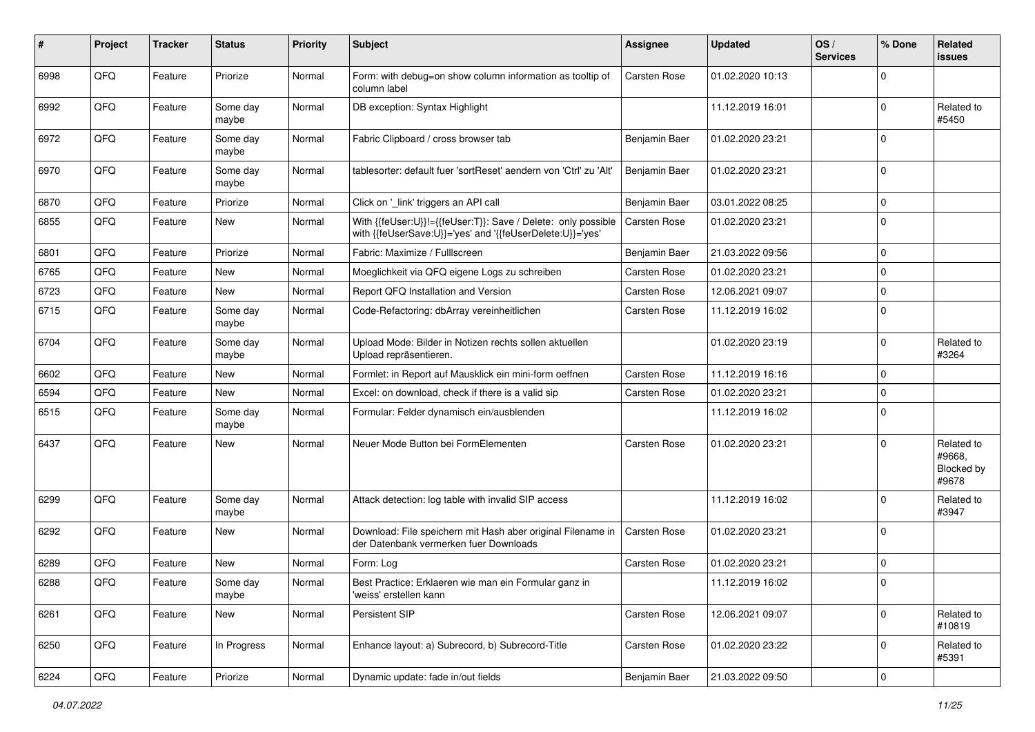| #    | Project | <b>Tracker</b> | <b>Status</b>     | <b>Priority</b> | <b>Subject</b>                                                                                                             | <b>Assignee</b>     | <b>Updated</b>   | OS/<br><b>Services</b> | % Done      | <b>Related</b><br><b>issues</b>             |
|------|---------|----------------|-------------------|-----------------|----------------------------------------------------------------------------------------------------------------------------|---------------------|------------------|------------------------|-------------|---------------------------------------------|
| 6998 | QFQ     | Feature        | Priorize          | Normal          | Form: with debug=on show column information as tooltip of<br>column label                                                  | Carsten Rose        | 01.02.2020 10:13 |                        | $\Omega$    |                                             |
| 6992 | QFQ     | Feature        | Some day<br>maybe | Normal          | DB exception: Syntax Highlight                                                                                             |                     | 11.12.2019 16:01 |                        | $\mathbf 0$ | Related to<br>#5450                         |
| 6972 | QFQ     | Feature        | Some day<br>maybe | Normal          | Fabric Clipboard / cross browser tab                                                                                       | Benjamin Baer       | 01.02.2020 23:21 |                        | $\mathbf 0$ |                                             |
| 6970 | QFQ     | Feature        | Some day<br>maybe | Normal          | tablesorter: default fuer 'sortReset' aendern von 'Ctrl' zu 'Alt'                                                          | Benjamin Baer       | 01.02.2020 23:21 |                        | $\mathbf 0$ |                                             |
| 6870 | QFQ     | Feature        | Priorize          | Normal          | Click on '_link' triggers an API call                                                                                      | Benjamin Baer       | 03.01.2022 08:25 |                        | $\mathbf 0$ |                                             |
| 6855 | QFQ     | Feature        | New               | Normal          | With {{feUser:U}}!={{feUser:T}}: Save / Delete: only possible<br>with {{feUserSave:U}}='yes' and '{{feUserDelete:U}}='yes' | Carsten Rose        | 01.02.2020 23:21 |                        | $\mathbf 0$ |                                             |
| 6801 | QFQ     | Feature        | Priorize          | Normal          | Fabric: Maximize / FullIscreen                                                                                             | Benjamin Baer       | 21.03.2022 09:56 |                        | $\mathbf 0$ |                                             |
| 6765 | QFQ     | Feature        | New               | Normal          | Moeglichkeit via QFQ eigene Logs zu schreiben                                                                              | Carsten Rose        | 01.02.2020 23:21 |                        | $\mathbf 0$ |                                             |
| 6723 | QFQ     | Feature        | New               | Normal          | Report QFQ Installation and Version                                                                                        | Carsten Rose        | 12.06.2021 09:07 |                        | $\mathbf 0$ |                                             |
| 6715 | QFQ     | Feature        | Some day<br>maybe | Normal          | Code-Refactoring: dbArray vereinheitlichen                                                                                 | Carsten Rose        | 11.12.2019 16:02 |                        | $\mathbf 0$ |                                             |
| 6704 | QFQ     | Feature        | Some day<br>maybe | Normal          | Upload Mode: Bilder in Notizen rechts sollen aktuellen<br>Upload repräsentieren.                                           |                     | 01.02.2020 23:19 |                        | $\mathbf 0$ | Related to<br>#3264                         |
| 6602 | QFQ     | Feature        | New               | Normal          | Formlet: in Report auf Mausklick ein mini-form oeffnen                                                                     | Carsten Rose        | 11.12.2019 16:16 |                        | $\mathbf 0$ |                                             |
| 6594 | QFQ     | Feature        | <b>New</b>        | Normal          | Excel: on download, check if there is a valid sip                                                                          | Carsten Rose        | 01.02.2020 23:21 |                        | $\mathbf 0$ |                                             |
| 6515 | QFQ     | Feature        | Some day<br>maybe | Normal          | Formular: Felder dynamisch ein/ausblenden                                                                                  |                     | 11.12.2019 16:02 |                        | $\mathbf 0$ |                                             |
| 6437 | QFQ     | Feature        | <b>New</b>        | Normal          | Neuer Mode Button bei FormElementen                                                                                        | Carsten Rose        | 01.02.2020 23:21 |                        | $\mathbf 0$ | Related to<br>#9668.<br>Blocked by<br>#9678 |
| 6299 | QFQ     | Feature        | Some day<br>maybe | Normal          | Attack detection: log table with invalid SIP access                                                                        |                     | 11.12.2019 16:02 |                        | $\mathbf 0$ | Related to<br>#3947                         |
| 6292 | QFQ     | Feature        | New               | Normal          | Download: File speichern mit Hash aber original Filename in<br>der Datenbank vermerken fuer Downloads                      | Carsten Rose        | 01.02.2020 23:21 |                        | $\mathbf 0$ |                                             |
| 6289 | QFQ     | Feature        | New               | Normal          | Form: Log                                                                                                                  | <b>Carsten Rose</b> | 01.02.2020 23:21 |                        | $\mathbf 0$ |                                             |
| 6288 | QFQ     | Feature        | Some day<br>maybe | Normal          | Best Practice: Erklaeren wie man ein Formular ganz in<br>'weiss' erstellen kann                                            |                     | 11.12.2019 16:02 |                        | $\Omega$    |                                             |
| 6261 | QFQ     | Feature        | New               | Normal          | Persistent SIP                                                                                                             | Carsten Rose        | 12.06.2021 09:07 |                        | $\mathbf 0$ | Related to<br>#10819                        |
| 6250 | QFQ     | Feature        | In Progress       | Normal          | Enhance layout: a) Subrecord, b) Subrecord-Title                                                                           | Carsten Rose        | 01.02.2020 23:22 |                        | $\mathbf 0$ | Related to<br>#5391                         |
| 6224 | QFG     | Feature        | Priorize          | Normal          | Dynamic update: fade in/out fields                                                                                         | Benjamin Baer       | 21.03.2022 09:50 |                        | $\pmb{0}$   |                                             |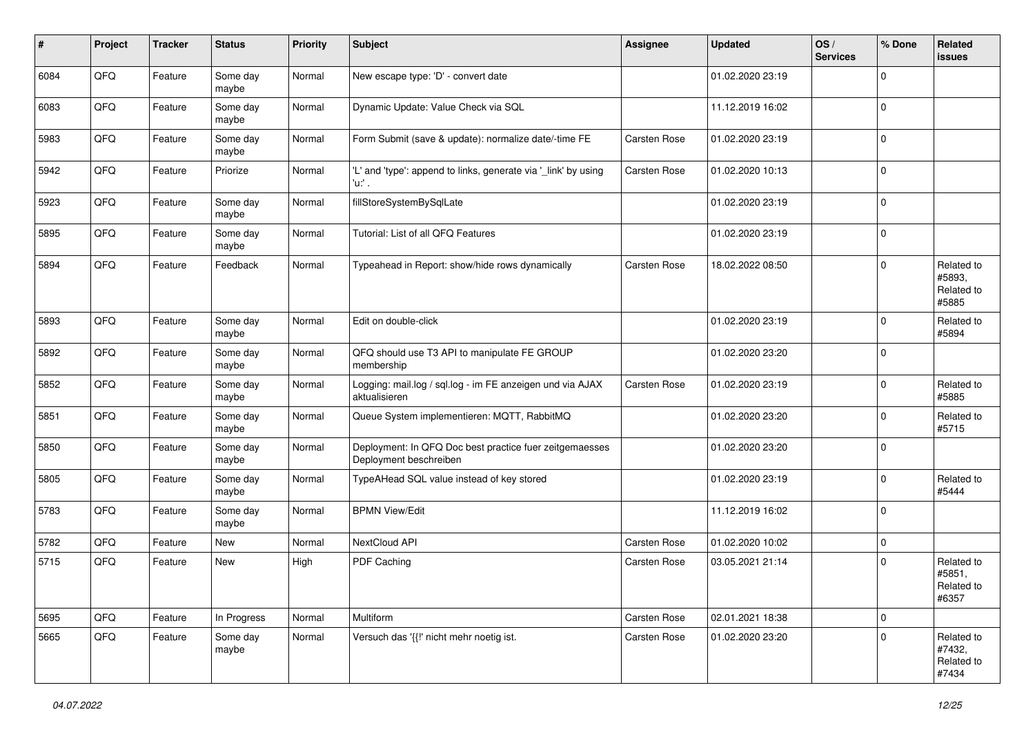| #    | Project | <b>Tracker</b> | <b>Status</b>     | <b>Priority</b> | <b>Subject</b>                                                                    | <b>Assignee</b> | <b>Updated</b>   | OS/<br><b>Services</b> | % Done      | <b>Related</b><br><b>issues</b>             |
|------|---------|----------------|-------------------|-----------------|-----------------------------------------------------------------------------------|-----------------|------------------|------------------------|-------------|---------------------------------------------|
| 6084 | QFQ     | Feature        | Some day<br>maybe | Normal          | New escape type: 'D' - convert date                                               |                 | 01.02.2020 23:19 |                        | $\Omega$    |                                             |
| 6083 | QFQ     | Feature        | Some day<br>maybe | Normal          | Dynamic Update: Value Check via SQL                                               |                 | 11.12.2019 16:02 |                        | $\mathbf 0$ |                                             |
| 5983 | QFQ     | Feature        | Some day<br>maybe | Normal          | Form Submit (save & update): normalize date/-time FE                              | Carsten Rose    | 01.02.2020 23:19 |                        | $\mathbf 0$ |                                             |
| 5942 | QFQ     | Feature        | Priorize          | Normal          | 'L' and 'type': append to links, generate via '_link' by using<br>'u.' .          | Carsten Rose    | 01.02.2020 10:13 |                        | $\mathbf 0$ |                                             |
| 5923 | QFQ     | Feature        | Some day<br>maybe | Normal          | fillStoreSystemBySqlLate                                                          |                 | 01.02.2020 23:19 |                        | $\mathbf 0$ |                                             |
| 5895 | QFQ     | Feature        | Some day<br>maybe | Normal          | Tutorial: List of all QFQ Features                                                |                 | 01.02.2020 23:19 |                        | $\mathbf 0$ |                                             |
| 5894 | QFQ     | Feature        | Feedback          | Normal          | Typeahead in Report: show/hide rows dynamically                                   | Carsten Rose    | 18.02.2022 08:50 |                        | $\mathbf 0$ | Related to<br>#5893,<br>Related to<br>#5885 |
| 5893 | QFQ     | Feature        | Some day<br>maybe | Normal          | Edit on double-click                                                              |                 | 01.02.2020 23:19 |                        | $\mathbf 0$ | Related to<br>#5894                         |
| 5892 | QFQ     | Feature        | Some day<br>maybe | Normal          | QFQ should use T3 API to manipulate FE GROUP<br>membership                        |                 | 01.02.2020 23:20 |                        | $\mathbf 0$ |                                             |
| 5852 | QFQ     | Feature        | Some day<br>maybe | Normal          | Logging: mail.log / sgl.log - im FE anzeigen und via AJAX<br>aktualisieren        | Carsten Rose    | 01.02.2020 23:19 |                        | $\mathbf 0$ | Related to<br>#5885                         |
| 5851 | QFQ     | Feature        | Some day<br>maybe | Normal          | Queue System implementieren: MQTT, RabbitMQ                                       |                 | 01.02.2020 23:20 |                        | $\mathbf 0$ | Related to<br>#5715                         |
| 5850 | QFQ     | Feature        | Some day<br>maybe | Normal          | Deployment: In QFQ Doc best practice fuer zeitgemaesses<br>Deployment beschreiben |                 | 01.02.2020 23:20 |                        | $\mathbf 0$ |                                             |
| 5805 | QFQ     | Feature        | Some day<br>maybe | Normal          | TypeAHead SQL value instead of key stored                                         |                 | 01.02.2020 23:19 |                        | $\mathbf 0$ | Related to<br>#5444                         |
| 5783 | QFQ     | Feature        | Some day<br>maybe | Normal          | <b>BPMN View/Edit</b>                                                             |                 | 11.12.2019 16:02 |                        | $\mathbf 0$ |                                             |
| 5782 | QFQ     | Feature        | New               | Normal          | NextCloud API                                                                     | Carsten Rose    | 01.02.2020 10:02 |                        | $\mathbf 0$ |                                             |
| 5715 | QFQ     | Feature        | New               | High            | PDF Caching                                                                       | Carsten Rose    | 03.05.2021 21:14 |                        | $\mathbf 0$ | Related to<br>#5851,<br>Related to<br>#6357 |
| 5695 | QFQ     | Feature        | In Progress       | Normal          | Multiform                                                                         | Carsten Rose    | 02.01.2021 18:38 |                        | $\mathbf 0$ |                                             |
| 5665 | QFQ     | Feature        | Some day<br>maybe | Normal          | Versuch das '{{!' nicht mehr noetig ist.                                          | Carsten Rose    | 01.02.2020 23:20 |                        | $\mathbf 0$ | Related to<br>#7432,<br>Related to<br>#7434 |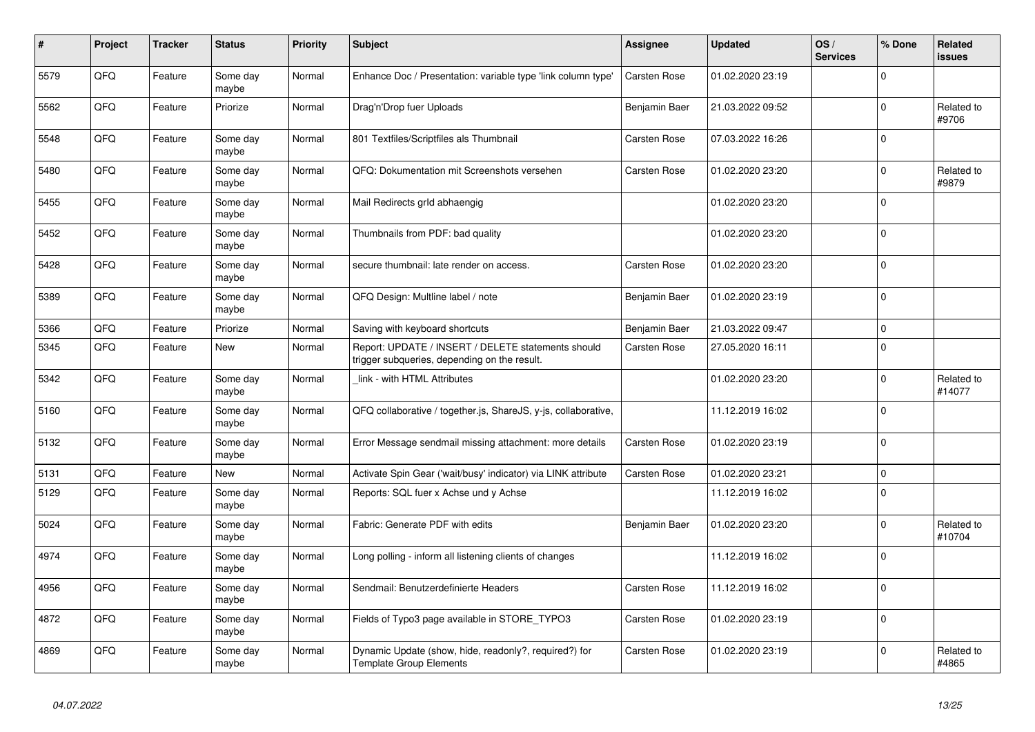| #    | Project | <b>Tracker</b> | <b>Status</b>     | <b>Priority</b> | <b>Subject</b>                                                                                     | <b>Assignee</b>     | <b>Updated</b>   | OS/<br><b>Services</b> | % Done      | <b>Related</b><br>issues |
|------|---------|----------------|-------------------|-----------------|----------------------------------------------------------------------------------------------------|---------------------|------------------|------------------------|-------------|--------------------------|
| 5579 | QFQ     | Feature        | Some day<br>maybe | Normal          | Enhance Doc / Presentation: variable type 'link column type'                                       | <b>Carsten Rose</b> | 01.02.2020 23:19 |                        | $\Omega$    |                          |
| 5562 | QFQ     | Feature        | Priorize          | Normal          | Drag'n'Drop fuer Uploads                                                                           | Benjamin Baer       | 21.03.2022 09:52 |                        | $\mathbf 0$ | Related to<br>#9706      |
| 5548 | QFQ     | Feature        | Some dav<br>maybe | Normal          | 801 Textfiles/Scriptfiles als Thumbnail                                                            | Carsten Rose        | 07.03.2022 16:26 |                        | $\mathbf 0$ |                          |
| 5480 | QFQ     | Feature        | Some day<br>maybe | Normal          | QFQ: Dokumentation mit Screenshots versehen                                                        | Carsten Rose        | 01.02.2020 23:20 |                        | $\Omega$    | Related to<br>#9879      |
| 5455 | QFQ     | Feature        | Some dav<br>maybe | Normal          | Mail Redirects grld abhaengig                                                                      |                     | 01.02.2020 23:20 |                        | $\mathbf 0$ |                          |
| 5452 | QFQ     | Feature        | Some day<br>maybe | Normal          | Thumbnails from PDF: bad quality                                                                   |                     | 01.02.2020 23:20 |                        | $\mathbf 0$ |                          |
| 5428 | QFQ     | Feature        | Some day<br>maybe | Normal          | secure thumbnail: late render on access.                                                           | Carsten Rose        | 01.02.2020 23:20 |                        | $\mathbf 0$ |                          |
| 5389 | QFQ     | Feature        | Some day<br>maybe | Normal          | QFQ Design: Multline label / note                                                                  | Benjamin Baer       | 01.02.2020 23:19 |                        | $\mathbf 0$ |                          |
| 5366 | QFQ     | Feature        | Priorize          | Normal          | Saving with keyboard shortcuts                                                                     | Benjamin Baer       | 21.03.2022 09:47 |                        | $\mathbf 0$ |                          |
| 5345 | QFQ     | Feature        | <b>New</b>        | Normal          | Report: UPDATE / INSERT / DELETE statements should<br>trigger subqueries, depending on the result. | <b>Carsten Rose</b> | 27.05.2020 16:11 |                        | $\Omega$    |                          |
| 5342 | QFQ     | Feature        | Some day<br>maybe | Normal          | link - with HTML Attributes                                                                        |                     | 01.02.2020 23:20 |                        | $\mathbf 0$ | Related to<br>#14077     |
| 5160 | QFQ     | Feature        | Some day<br>maybe | Normal          | QFQ collaborative / together.js, ShareJS, y-js, collaborative,                                     |                     | 11.12.2019 16:02 |                        | $\mathbf 0$ |                          |
| 5132 | QFQ     | Feature        | Some day<br>maybe | Normal          | Error Message sendmail missing attachment: more details                                            | Carsten Rose        | 01.02.2020 23:19 |                        | $\mathbf 0$ |                          |
| 5131 | QFQ     | Feature        | <b>New</b>        | Normal          | Activate Spin Gear ('wait/busy' indicator) via LINK attribute                                      | <b>Carsten Rose</b> | 01.02.2020 23:21 |                        | $\mathsf 0$ |                          |
| 5129 | OFO.    | Feature        | Some day<br>maybe | Normal          | Reports: SQL fuer x Achse und y Achse                                                              |                     | 11.12.2019 16:02 |                        | $\pmb{0}$   |                          |
| 5024 | QFQ     | Feature        | Some dav<br>maybe | Normal          | Fabric: Generate PDF with edits                                                                    | Benjamin Baer       | 01.02.2020 23:20 |                        | $\mathbf 0$ | Related to<br>#10704     |
| 4974 | QFQ     | Feature        | Some day<br>maybe | Normal          | Long polling - inform all listening clients of changes                                             |                     | 11.12.2019 16:02 |                        | $\Omega$    |                          |
| 4956 | QFQ     | Feature        | Some day<br>maybe | Normal          | Sendmail: Benutzerdefinierte Headers                                                               | <b>Carsten Rose</b> | 11.12.2019 16:02 |                        | $\mathbf 0$ |                          |
| 4872 | QFQ     | Feature        | Some day<br>maybe | Normal          | Fields of Typo3 page available in STORE_TYPO3                                                      | Carsten Rose        | 01.02.2020 23:19 |                        | $\mathbf 0$ |                          |
| 4869 | QFQ     | Feature        | Some day<br>maybe | Normal          | Dynamic Update (show, hide, readonly?, required?) for<br><b>Template Group Elements</b>            | Carsten Rose        | 01.02.2020 23:19 |                        | $\Omega$    | Related to<br>#4865      |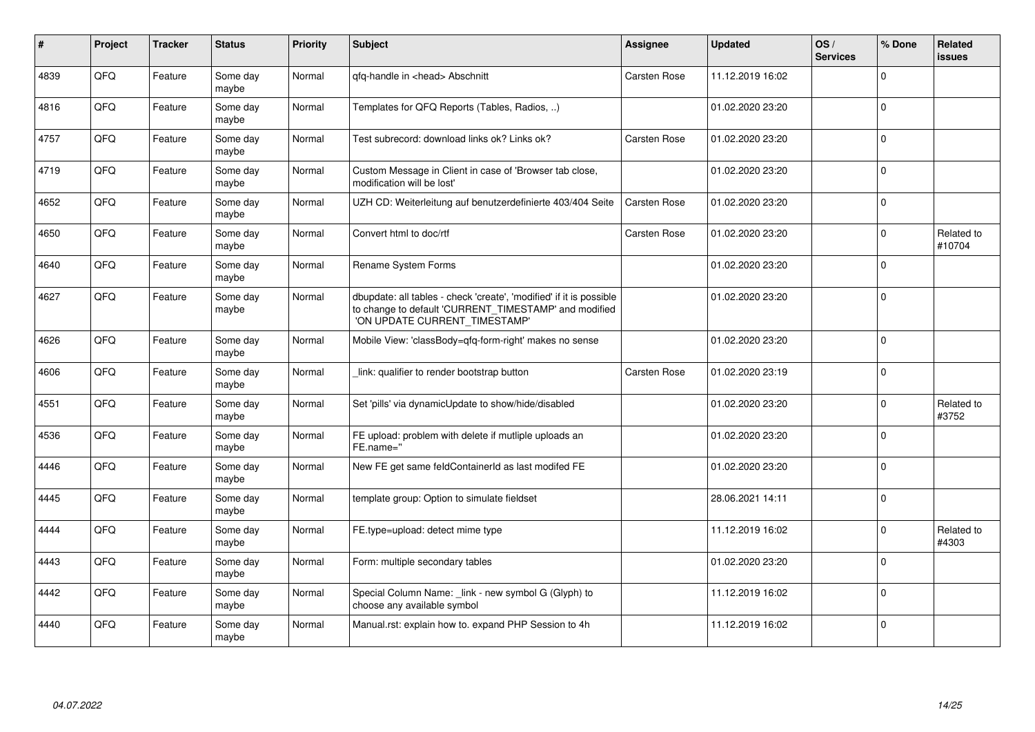| #    | Project | <b>Tracker</b> | <b>Status</b>     | <b>Priority</b> | <b>Subject</b>                                                                                                                                                | <b>Assignee</b> | <b>Updated</b>   | OS/<br><b>Services</b> | % Done      | <b>Related</b><br><b>issues</b> |
|------|---------|----------------|-------------------|-----------------|---------------------------------------------------------------------------------------------------------------------------------------------------------------|-----------------|------------------|------------------------|-------------|---------------------------------|
| 4839 | QFQ     | Feature        | Some day<br>maybe | Normal          | qfq-handle in <head> Abschnitt</head>                                                                                                                         | Carsten Rose    | 11.12.2019 16:02 |                        | $\Omega$    |                                 |
| 4816 | QFQ     | Feature        | Some day<br>maybe | Normal          | Templates for QFQ Reports (Tables, Radios, )                                                                                                                  |                 | 01.02.2020 23:20 |                        | $\Omega$    |                                 |
| 4757 | QFQ     | Feature        | Some day<br>maybe | Normal          | Test subrecord: download links ok? Links ok?                                                                                                                  | Carsten Rose    | 01.02.2020 23:20 |                        | $\mathbf 0$ |                                 |
| 4719 | QFQ     | Feature        | Some day<br>maybe | Normal          | Custom Message in Client in case of 'Browser tab close,<br>modification will be lost'                                                                         |                 | 01.02.2020 23:20 |                        | $\mathbf 0$ |                                 |
| 4652 | QFQ     | Feature        | Some day<br>maybe | Normal          | UZH CD: Weiterleitung auf benutzerdefinierte 403/404 Seite                                                                                                    | Carsten Rose    | 01.02.2020 23:20 |                        | $\mathbf 0$ |                                 |
| 4650 | QFQ     | Feature        | Some day<br>maybe | Normal          | Convert html to doc/rtf                                                                                                                                       | Carsten Rose    | 01.02.2020 23:20 |                        | $\mathbf 0$ | Related to<br>#10704            |
| 4640 | QFQ     | Feature        | Some day<br>maybe | Normal          | Rename System Forms                                                                                                                                           |                 | 01.02.2020 23:20 |                        | $\mathbf 0$ |                                 |
| 4627 | QFQ     | Feature        | Some day<br>maybe | Normal          | dbupdate: all tables - check 'create', 'modified' if it is possible<br>to change to default 'CURRENT_TIMESTAMP' and modified<br>'ON UPDATE CURRENT TIMESTAMP' |                 | 01.02.2020 23:20 |                        | $\mathbf 0$ |                                 |
| 4626 | QFQ     | Feature        | Some day<br>maybe | Normal          | Mobile View: 'classBody=qfq-form-right' makes no sense                                                                                                        |                 | 01.02.2020 23:20 |                        | $\Omega$    |                                 |
| 4606 | QFQ     | Feature        | Some day<br>maybe | Normal          | link: qualifier to render bootstrap button                                                                                                                    | Carsten Rose    | 01.02.2020 23:19 |                        | $\mathbf 0$ |                                 |
| 4551 | QFQ     | Feature        | Some day<br>maybe | Normal          | Set 'pills' via dynamicUpdate to show/hide/disabled                                                                                                           |                 | 01.02.2020 23:20 |                        | $\Omega$    | Related to<br>#3752             |
| 4536 | QFQ     | Feature        | Some day<br>maybe | Normal          | FE upload: problem with delete if mutliple uploads an<br>FE.name="                                                                                            |                 | 01.02.2020 23:20 |                        | $\Omega$    |                                 |
| 4446 | QFQ     | Feature        | Some day<br>maybe | Normal          | New FE get same feldContainerId as last modifed FE                                                                                                            |                 | 01.02.2020 23:20 |                        | $\mathbf 0$ |                                 |
| 4445 | QFQ     | Feature        | Some day<br>maybe | Normal          | template group: Option to simulate fieldset                                                                                                                   |                 | 28.06.2021 14:11 |                        | $\mathbf 0$ |                                 |
| 4444 | QFQ     | Feature        | Some day<br>maybe | Normal          | FE.type=upload: detect mime type                                                                                                                              |                 | 11.12.2019 16:02 |                        | $\mathbf 0$ | Related to<br>#4303             |
| 4443 | QFQ     | Feature        | Some day<br>maybe | Normal          | Form: multiple secondary tables                                                                                                                               |                 | 01.02.2020 23:20 |                        | $\Omega$    |                                 |
| 4442 | QFQ     | Feature        | Some day<br>maybe | Normal          | Special Column Name: _link - new symbol G (Glyph) to<br>choose any available symbol                                                                           |                 | 11.12.2019 16:02 |                        | $\Omega$    |                                 |
| 4440 | QFQ     | Feature        | Some day<br>maybe | Normal          | Manual.rst: explain how to. expand PHP Session to 4h                                                                                                          |                 | 11.12.2019 16:02 |                        | $\mathbf 0$ |                                 |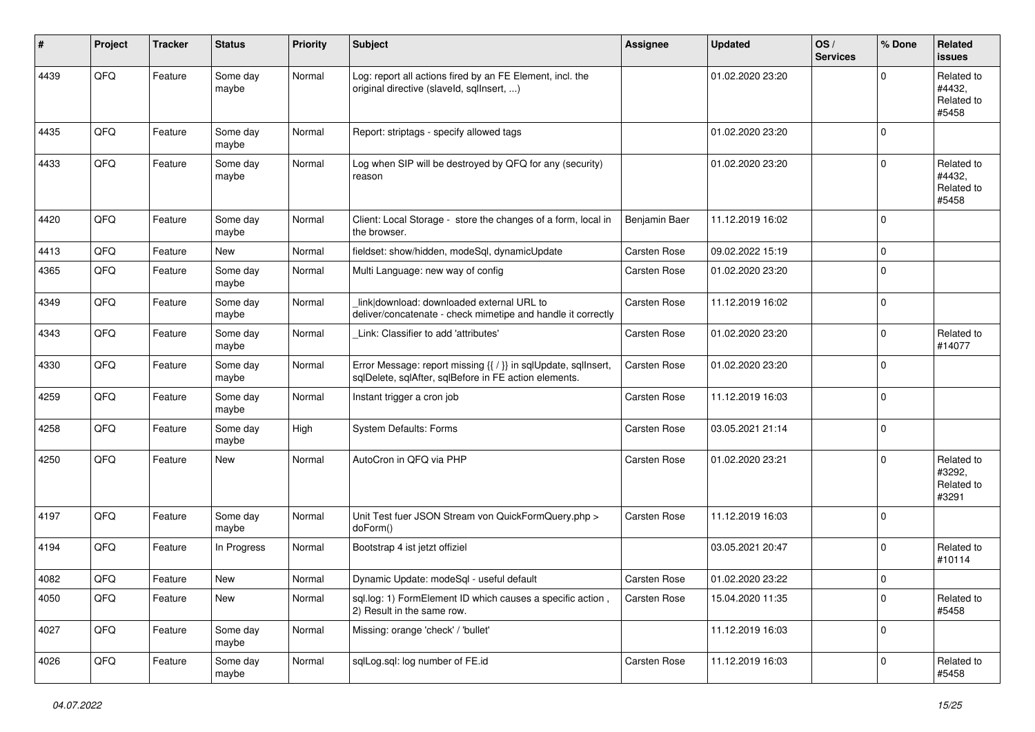| ∦    | Project | <b>Tracker</b> | <b>Status</b>     | <b>Priority</b> | <b>Subject</b>                                                                                                          | <b>Assignee</b>     | <b>Updated</b>   | OS/<br><b>Services</b> | % Done    | <b>Related</b><br><b>issues</b>             |
|------|---------|----------------|-------------------|-----------------|-------------------------------------------------------------------------------------------------------------------------|---------------------|------------------|------------------------|-----------|---------------------------------------------|
| 4439 | QFQ     | Feature        | Some day<br>maybe | Normal          | Log: report all actions fired by an FE Element, incl. the<br>original directive (slaveld, sqllnsert, )                  |                     | 01.02.2020 23:20 |                        | $\Omega$  | Related to<br>#4432.<br>Related to<br>#5458 |
| 4435 | QFQ     | Feature        | Some day<br>maybe | Normal          | Report: striptags - specify allowed tags                                                                                |                     | 01.02.2020 23:20 |                        | $\Omega$  |                                             |
| 4433 | QFQ     | Feature        | Some day<br>maybe | Normal          | Log when SIP will be destroyed by QFQ for any (security)<br>reason                                                      |                     | 01.02.2020 23:20 |                        | $\Omega$  | Related to<br>#4432,<br>Related to<br>#5458 |
| 4420 | QFQ     | Feature        | Some day<br>maybe | Normal          | Client: Local Storage - store the changes of a form, local in<br>the browser.                                           | Benjamin Baer       | 11.12.2019 16:02 |                        | $\Omega$  |                                             |
| 4413 | QFQ     | Feature        | <b>New</b>        | Normal          | fieldset: show/hidden, modeSql, dynamicUpdate                                                                           | Carsten Rose        | 09.02.2022 15:19 |                        | $\Omega$  |                                             |
| 4365 | QFQ     | Feature        | Some day<br>maybe | Normal          | Multi Language: new way of config                                                                                       | Carsten Rose        | 01.02.2020 23:20 |                        | $\Omega$  |                                             |
| 4349 | QFQ     | Feature        | Some day<br>maybe | Normal          | link download: downloaded external URL to<br>deliver/concatenate - check mimetipe and handle it correctly               | <b>Carsten Rose</b> | 11.12.2019 16:02 |                        | $\Omega$  |                                             |
| 4343 | QFQ     | Feature        | Some day<br>maybe | Normal          | Link: Classifier to add 'attributes'                                                                                    | <b>Carsten Rose</b> | 01.02.2020 23:20 |                        | $\Omega$  | Related to<br>#14077                        |
| 4330 | QFQ     | Feature        | Some day<br>maybe | Normal          | Error Message: report missing {{ / }} in sqlUpdate, sqlInsert,<br>sqlDelete, sqlAfter, sqlBefore in FE action elements. | Carsten Rose        | 01.02.2020 23:20 |                        | $\Omega$  |                                             |
| 4259 | QFQ     | Feature        | Some day<br>maybe | Normal          | Instant trigger a cron job                                                                                              | Carsten Rose        | 11.12.2019 16:03 |                        | $\Omega$  |                                             |
| 4258 | QFQ     | Feature        | Some day<br>maybe | High            | <b>System Defaults: Forms</b>                                                                                           | Carsten Rose        | 03.05.2021 21:14 |                        | $\Omega$  |                                             |
| 4250 | QFQ     | Feature        | <b>New</b>        | Normal          | AutoCron in QFQ via PHP                                                                                                 | <b>Carsten Rose</b> | 01.02.2020 23:21 |                        | $\Omega$  | Related to<br>#3292.<br>Related to<br>#3291 |
| 4197 | QFQ     | Feature        | Some day<br>maybe | Normal          | Unit Test fuer JSON Stream von QuickFormQuery.php ><br>doForm()                                                         | <b>Carsten Rose</b> | 11.12.2019 16:03 |                        | $\Omega$  |                                             |
| 4194 | QFQ     | Feature        | In Progress       | Normal          | Bootstrap 4 ist jetzt offiziel                                                                                          |                     | 03.05.2021 20:47 |                        | $\Omega$  | Related to<br>#10114                        |
| 4082 | QFQ     | Feature        | New               | Normal          | Dynamic Update: modeSql - useful default                                                                                | Carsten Rose        | 01.02.2020 23:22 |                        | $\Omega$  |                                             |
| 4050 | QFQ     | Feature        | New               | Normal          | sql.log: 1) FormElement ID which causes a specific action,<br>2) Result in the same row.                                | Carsten Rose        | 15.04.2020 11:35 |                        | $\pmb{0}$ | Related to<br>#5458                         |
| 4027 | QFQ     | Feature        | Some day<br>maybe | Normal          | Missing: orange 'check' / 'bullet'                                                                                      |                     | 11.12.2019 16:03 |                        | 0         |                                             |
| 4026 | QFG     | Feature        | Some day<br>maybe | Normal          | sqlLog.sql: log number of FE.id                                                                                         | Carsten Rose        | 11.12.2019 16:03 |                        | 0         | Related to<br>#5458                         |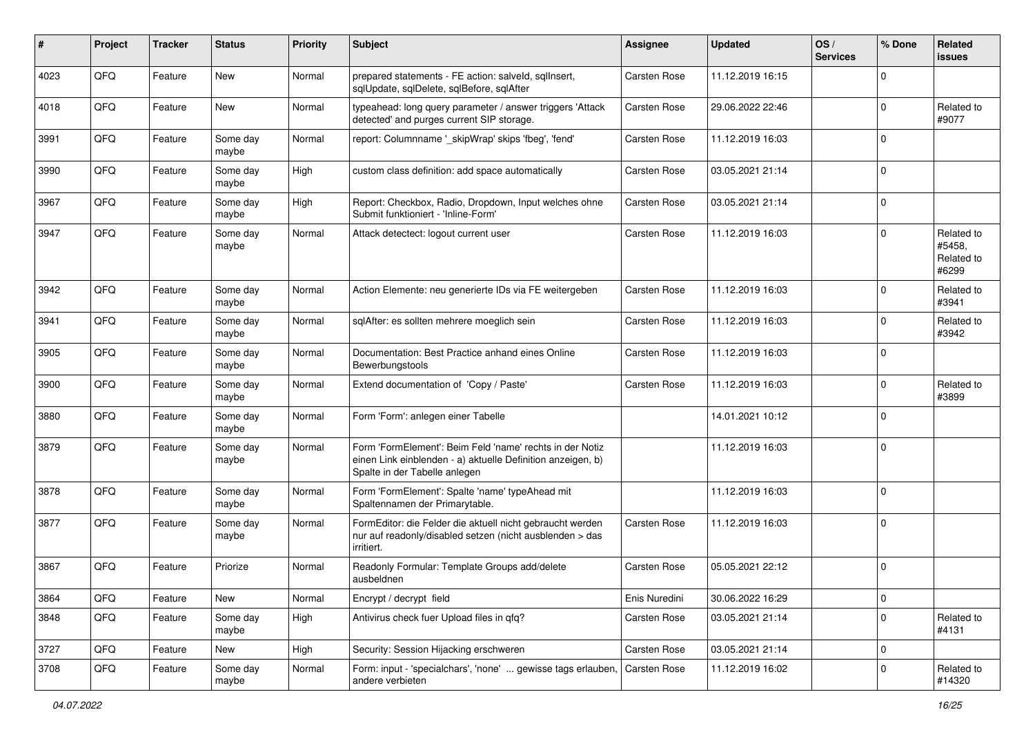| #    | Project | <b>Tracker</b> | <b>Status</b>     | <b>Priority</b> | <b>Subject</b>                                                                                                                                           | <b>Assignee</b>     | <b>Updated</b>   | OS/<br><b>Services</b> | % Done      | Related<br><b>issues</b>                    |
|------|---------|----------------|-------------------|-----------------|----------------------------------------------------------------------------------------------------------------------------------------------------------|---------------------|------------------|------------------------|-------------|---------------------------------------------|
| 4023 | QFQ     | Feature        | New               | Normal          | prepared statements - FE action: salveld, sqllnsert,<br>sqlUpdate, sqlDelete, sqlBefore, sqlAfter                                                        | Carsten Rose        | 11.12.2019 16:15 |                        | $\Omega$    |                                             |
| 4018 | QFQ     | Feature        | New               | Normal          | typeahead: long query parameter / answer triggers 'Attack<br>detected' and purges current SIP storage.                                                   | <b>Carsten Rose</b> | 29.06.2022 22:46 |                        | $\mathbf 0$ | Related to<br>#9077                         |
| 3991 | QFQ     | Feature        | Some day<br>maybe | Normal          | report: Columnname '_skipWrap' skips 'fbeg', 'fend'                                                                                                      | Carsten Rose        | 11.12.2019 16:03 |                        | $\Omega$    |                                             |
| 3990 | QFQ     | Feature        | Some day<br>maybe | High            | custom class definition: add space automatically                                                                                                         | <b>Carsten Rose</b> | 03.05.2021 21:14 |                        | $\mathbf 0$ |                                             |
| 3967 | QFQ     | Feature        | Some day<br>maybe | High            | Report: Checkbox, Radio, Dropdown, Input welches ohne<br>Submit funktioniert - 'Inline-Form'                                                             | <b>Carsten Rose</b> | 03.05.2021 21:14 |                        | $\mathbf 0$ |                                             |
| 3947 | QFQ     | Feature        | Some day<br>maybe | Normal          | Attack detectect: logout current user                                                                                                                    | Carsten Rose        | 11.12.2019 16:03 |                        | $\mathbf 0$ | Related to<br>#5458.<br>Related to<br>#6299 |
| 3942 | QFQ     | Feature        | Some day<br>maybe | Normal          | Action Elemente: neu generierte IDs via FE weitergeben                                                                                                   | <b>Carsten Rose</b> | 11.12.2019 16:03 |                        | $\mathbf 0$ | Related to<br>#3941                         |
| 3941 | QFQ     | Feature        | Some day<br>maybe | Normal          | sqlAfter: es sollten mehrere moeglich sein                                                                                                               | Carsten Rose        | 11.12.2019 16:03 |                        | $\mathbf 0$ | Related to<br>#3942                         |
| 3905 | QFQ     | Feature        | Some day<br>maybe | Normal          | Documentation: Best Practice anhand eines Online<br>Bewerbungstools                                                                                      | Carsten Rose        | 11.12.2019 16:03 |                        | $\mathbf 0$ |                                             |
| 3900 | QFQ     | Feature        | Some day<br>maybe | Normal          | Extend documentation of 'Copy / Paste'                                                                                                                   | Carsten Rose        | 11.12.2019 16:03 |                        | $\mathbf 0$ | Related to<br>#3899                         |
| 3880 | QFQ     | Feature        | Some day<br>maybe | Normal          | Form 'Form': anlegen einer Tabelle                                                                                                                       |                     | 14.01.2021 10:12 |                        | $\mathbf 0$ |                                             |
| 3879 | QFQ     | Feature        | Some day<br>maybe | Normal          | Form 'FormElement': Beim Feld 'name' rechts in der Notiz<br>einen Link einblenden - a) aktuelle Definition anzeigen, b)<br>Spalte in der Tabelle anlegen |                     | 11.12.2019 16:03 |                        | $\mathbf 0$ |                                             |
| 3878 | QFQ     | Feature        | Some day<br>maybe | Normal          | Form 'FormElement': Spalte 'name' typeAhead mit<br>Spaltennamen der Primarytable.                                                                        |                     | 11.12.2019 16:03 |                        | $\mathbf 0$ |                                             |
| 3877 | QFQ     | Feature        | Some day<br>maybe | Normal          | FormEditor: die Felder die aktuell nicht gebraucht werden<br>nur auf readonly/disabled setzen (nicht ausblenden > das<br>irritiert.                      | Carsten Rose        | 11.12.2019 16:03 |                        | $\mathbf 0$ |                                             |
| 3867 | QFQ     | Feature        | Priorize          | Normal          | Readonly Formular: Template Groups add/delete<br>ausbeldnen                                                                                              | <b>Carsten Rose</b> | 05.05.2021 22:12 |                        | $\mathbf 0$ |                                             |
| 3864 | QFQ     | Feature        | New               | Normal          | Encrypt / decrypt field                                                                                                                                  | Enis Nuredini       | 30.06.2022 16:29 |                        | $\pmb{0}$   |                                             |
| 3848 | QFQ     | Feature        | Some day<br>maybe | High            | Antivirus check fuer Upload files in qfq?                                                                                                                | Carsten Rose        | 03.05.2021 21:14 |                        | $\mathbf 0$ | Related to<br>#4131                         |
| 3727 | QFQ     | Feature        | New               | High            | Security: Session Hijacking erschweren                                                                                                                   | Carsten Rose        | 03.05.2021 21:14 |                        | 0           |                                             |
| 3708 | QFQ     | Feature        | Some day<br>maybe | Normal          | Form: input - 'specialchars', 'none'  gewisse tags erlauben,<br>andere verbieten                                                                         | Carsten Rose        | 11.12.2019 16:02 |                        | $\mathbf 0$ | Related to<br>#14320                        |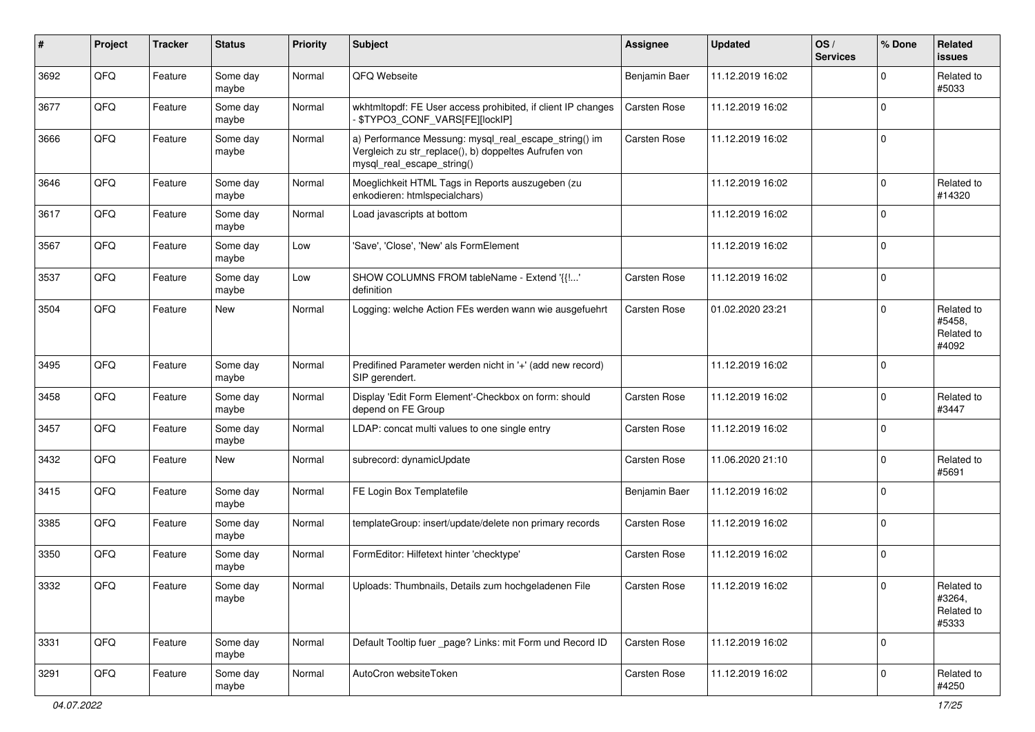| ∦    | Project | <b>Tracker</b> | <b>Status</b>     | <b>Priority</b> | <b>Subject</b>                                                                                                                               | <b>Assignee</b>     | <b>Updated</b>   | OS/<br><b>Services</b> | % Done      | Related<br><b>issues</b>                    |
|------|---------|----------------|-------------------|-----------------|----------------------------------------------------------------------------------------------------------------------------------------------|---------------------|------------------|------------------------|-------------|---------------------------------------------|
| 3692 | QFQ     | Feature        | Some day<br>maybe | Normal          | QFQ Webseite                                                                                                                                 | Benjamin Baer       | 11.12.2019 16:02 |                        | $\Omega$    | Related to<br>#5033                         |
| 3677 | QFQ     | Feature        | Some day<br>maybe | Normal          | wkhtmltopdf: FE User access prohibited, if client IP changes<br>\$TYPO3_CONF_VARS[FE][lockIP]                                                | Carsten Rose        | 11.12.2019 16:02 |                        | $\Omega$    |                                             |
| 3666 | QFQ     | Feature        | Some day<br>maybe | Normal          | a) Performance Messung: mysql_real_escape_string() im<br>Vergleich zu str_replace(), b) doppeltes Aufrufen von<br>mysql_real_escape_string() | <b>Carsten Rose</b> | 11.12.2019 16:02 |                        | $\Omega$    |                                             |
| 3646 | QFQ     | Feature        | Some day<br>maybe | Normal          | Moeglichkeit HTML Tags in Reports auszugeben (zu<br>enkodieren: htmlspecialchars)                                                            |                     | 11.12.2019 16:02 |                        | $\mathbf 0$ | Related to<br>#14320                        |
| 3617 | QFQ     | Feature        | Some day<br>maybe | Normal          | Load javascripts at bottom                                                                                                                   |                     | 11.12.2019 16:02 |                        | $\Omega$    |                                             |
| 3567 | QFQ     | Feature        | Some day<br>maybe | Low             | 'Save', 'Close', 'New' als FormElement                                                                                                       |                     | 11.12.2019 16:02 |                        | $\mathbf 0$ |                                             |
| 3537 | QFQ     | Feature        | Some day<br>maybe | Low             | SHOW COLUMNS FROM tableName - Extend '{{'<br>definition                                                                                      | Carsten Rose        | 11.12.2019 16:02 |                        | $\mathbf 0$ |                                             |
| 3504 | QFQ     | Feature        | <b>New</b>        | Normal          | Logging: welche Action FEs werden wann wie ausgefuehrt                                                                                       | Carsten Rose        | 01.02.2020 23:21 |                        | $\mathbf 0$ | Related to<br>#5458,<br>Related to<br>#4092 |
| 3495 | QFQ     | Feature        | Some day<br>maybe | Normal          | Predifined Parameter werden nicht in '+' (add new record)<br>SIP gerendert.                                                                  |                     | 11.12.2019 16:02 |                        | $\mathbf 0$ |                                             |
| 3458 | QFQ     | Feature        | Some day<br>maybe | Normal          | Display 'Edit Form Element'-Checkbox on form: should<br>depend on FE Group                                                                   | <b>Carsten Rose</b> | 11.12.2019 16:02 |                        | $\mathbf 0$ | Related to<br>#3447                         |
| 3457 | QFQ     | Feature        | Some day<br>maybe | Normal          | LDAP: concat multi values to one single entry                                                                                                | Carsten Rose        | 11.12.2019 16:02 |                        | $\mathbf 0$ |                                             |
| 3432 | QFQ     | Feature        | New               | Normal          | subrecord: dynamicUpdate                                                                                                                     | <b>Carsten Rose</b> | 11.06.2020 21:10 |                        | $\mathbf 0$ | Related to<br>#5691                         |
| 3415 | QFQ     | Feature        | Some day<br>maybe | Normal          | FE Login Box Templatefile                                                                                                                    | Benjamin Baer       | 11.12.2019 16:02 |                        | $\mathbf 0$ |                                             |
| 3385 | QFQ     | Feature        | Some day<br>maybe | Normal          | templateGroup: insert/update/delete non primary records                                                                                      | Carsten Rose        | 11.12.2019 16:02 |                        | $\Omega$    |                                             |
| 3350 | QFQ     | Feature        | Some day<br>maybe | Normal          | FormEditor: Hilfetext hinter 'checktype'                                                                                                     | <b>Carsten Rose</b> | 11.12.2019 16:02 |                        | $\Omega$    |                                             |
| 3332 | QFQ     | Feature        | Some day<br>maybe | Normal          | Uploads: Thumbnails, Details zum hochgeladenen File                                                                                          | Carsten Rose        | 11.12.2019 16:02 |                        | $\pmb{0}$   | Related to<br>#3264,<br>Related to<br>#5333 |
| 3331 | QFQ     | Feature        | Some day<br>maybe | Normal          | Default Tooltip fuer _page? Links: mit Form und Record ID                                                                                    | <b>Carsten Rose</b> | 11.12.2019 16:02 |                        | $\mathbf 0$ |                                             |
| 3291 | QFQ     | Feature        | Some day<br>maybe | Normal          | AutoCron websiteToken                                                                                                                        | Carsten Rose        | 11.12.2019 16:02 |                        | 0           | Related to<br>#4250                         |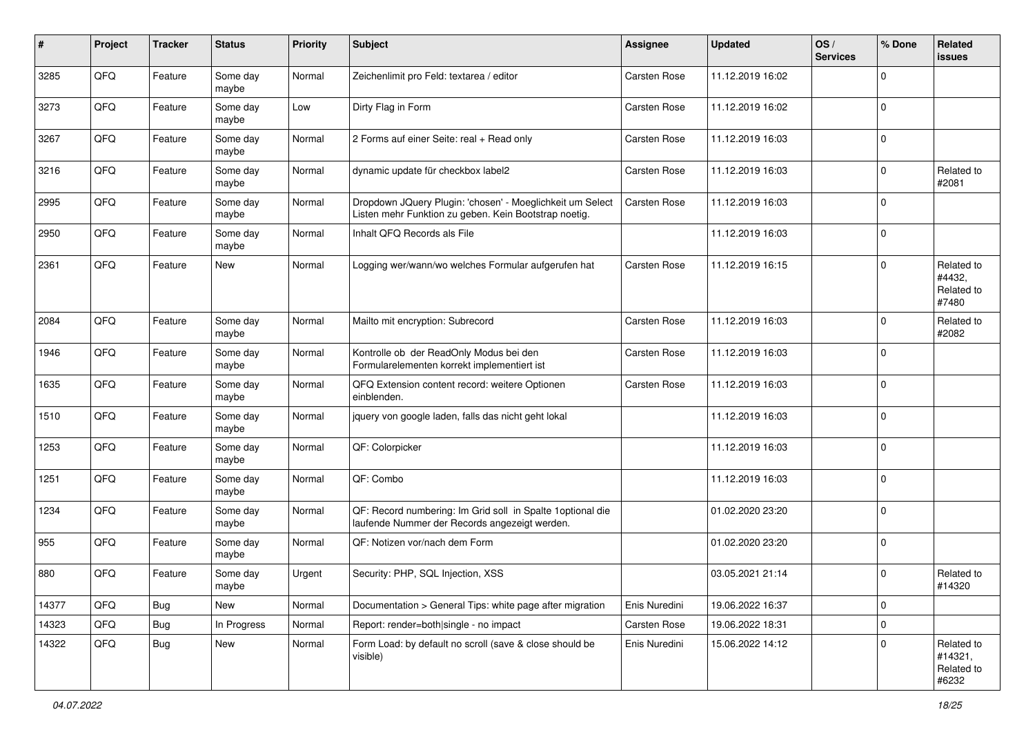| #     | Project | <b>Tracker</b> | <b>Status</b>     | <b>Priority</b> | Subject                                                                                                            | <b>Assignee</b>     | <b>Updated</b>   | OS/<br><b>Services</b> | % Done      | Related<br><b>issues</b>                     |
|-------|---------|----------------|-------------------|-----------------|--------------------------------------------------------------------------------------------------------------------|---------------------|------------------|------------------------|-------------|----------------------------------------------|
| 3285  | QFQ     | Feature        | Some day<br>maybe | Normal          | Zeichenlimit pro Feld: textarea / editor                                                                           | Carsten Rose        | 11.12.2019 16:02 |                        | $\Omega$    |                                              |
| 3273  | QFQ     | Feature        | Some day<br>maybe | Low             | Dirty Flag in Form                                                                                                 | Carsten Rose        | 11.12.2019 16:02 |                        | $\mathbf 0$ |                                              |
| 3267  | QFQ     | Feature        | Some day<br>maybe | Normal          | 2 Forms auf einer Seite: real + Read only                                                                          | <b>Carsten Rose</b> | 11.12.2019 16:03 |                        | $\Omega$    |                                              |
| 3216  | QFQ     | Feature        | Some day<br>maybe | Normal          | dynamic update für checkbox label2                                                                                 | <b>Carsten Rose</b> | 11.12.2019 16:03 |                        | $\mathbf 0$ | Related to<br>#2081                          |
| 2995  | QFQ     | Feature        | Some day<br>maybe | Normal          | Dropdown JQuery Plugin: 'chosen' - Moeglichkeit um Select<br>Listen mehr Funktion zu geben. Kein Bootstrap noetig. | Carsten Rose        | 11.12.2019 16:03 |                        | $\mathbf 0$ |                                              |
| 2950  | QFQ     | Feature        | Some day<br>maybe | Normal          | Inhalt QFQ Records als File                                                                                        |                     | 11.12.2019 16:03 |                        | $\mathbf 0$ |                                              |
| 2361  | QFQ     | Feature        | <b>New</b>        | Normal          | Logging wer/wann/wo welches Formular aufgerufen hat                                                                | Carsten Rose        | 11.12.2019 16:15 |                        | $\Omega$    | Related to<br>#4432,<br>Related to<br>#7480  |
| 2084  | QFQ     | Feature        | Some day<br>maybe | Normal          | Mailto mit encryption: Subrecord                                                                                   | Carsten Rose        | 11.12.2019 16:03 |                        | $\mathbf 0$ | Related to<br>#2082                          |
| 1946  | QFQ     | Feature        | Some day<br>maybe | Normal          | Kontrolle ob der ReadOnly Modus bei den<br>Formularelementen korrekt implementiert ist                             | <b>Carsten Rose</b> | 11.12.2019 16:03 |                        | $\mathbf 0$ |                                              |
| 1635  | QFQ     | Feature        | Some day<br>maybe | Normal          | QFQ Extension content record: weitere Optionen<br>einblenden.                                                      | <b>Carsten Rose</b> | 11.12.2019 16:03 |                        | $\mathbf 0$ |                                              |
| 1510  | QFQ     | Feature        | Some day<br>maybe | Normal          | jquery von google laden, falls das nicht geht lokal                                                                |                     | 11.12.2019 16:03 |                        | $\mathbf 0$ |                                              |
| 1253  | QFQ     | Feature        | Some day<br>maybe | Normal          | QF: Colorpicker                                                                                                    |                     | 11.12.2019 16:03 |                        | $\Omega$    |                                              |
| 1251  | QFQ     | Feature        | Some day<br>maybe | Normal          | QF: Combo                                                                                                          |                     | 11.12.2019 16:03 |                        | $\Omega$    |                                              |
| 1234  | QFQ     | Feature        | Some day<br>maybe | Normal          | QF: Record numbering: Im Grid soll in Spalte 1 optional die<br>laufende Nummer der Records angezeigt werden.       |                     | 01.02.2020 23:20 |                        | $\Omega$    |                                              |
| 955   | QFQ     | Feature        | Some day<br>maybe | Normal          | QF: Notizen vor/nach dem Form                                                                                      |                     | 01.02.2020 23:20 |                        | $\mathbf 0$ |                                              |
| 880   | QFQ     | Feature        | Some day<br>maybe | Urgent          | Security: PHP, SQL Injection, XSS                                                                                  |                     | 03.05.2021 21:14 |                        | $\mathbf 0$ | Related to<br>#14320                         |
| 14377 | QFQ     | Bug            | New               | Normal          | Documentation > General Tips: white page after migration                                                           | Enis Nuredini       | 19.06.2022 16:37 |                        | $\mathbf 0$ |                                              |
| 14323 | QFQ     | <b>Bug</b>     | In Progress       | Normal          | Report: render=both single - no impact                                                                             | Carsten Rose        | 19.06.2022 18:31 |                        | $\pmb{0}$   |                                              |
| 14322 | QFQ     | <b>Bug</b>     | New               | Normal          | Form Load: by default no scroll (save & close should be<br>visible)                                                | Enis Nuredini       | 15.06.2022 14:12 |                        | $\Omega$    | Related to<br>#14321,<br>Related to<br>#6232 |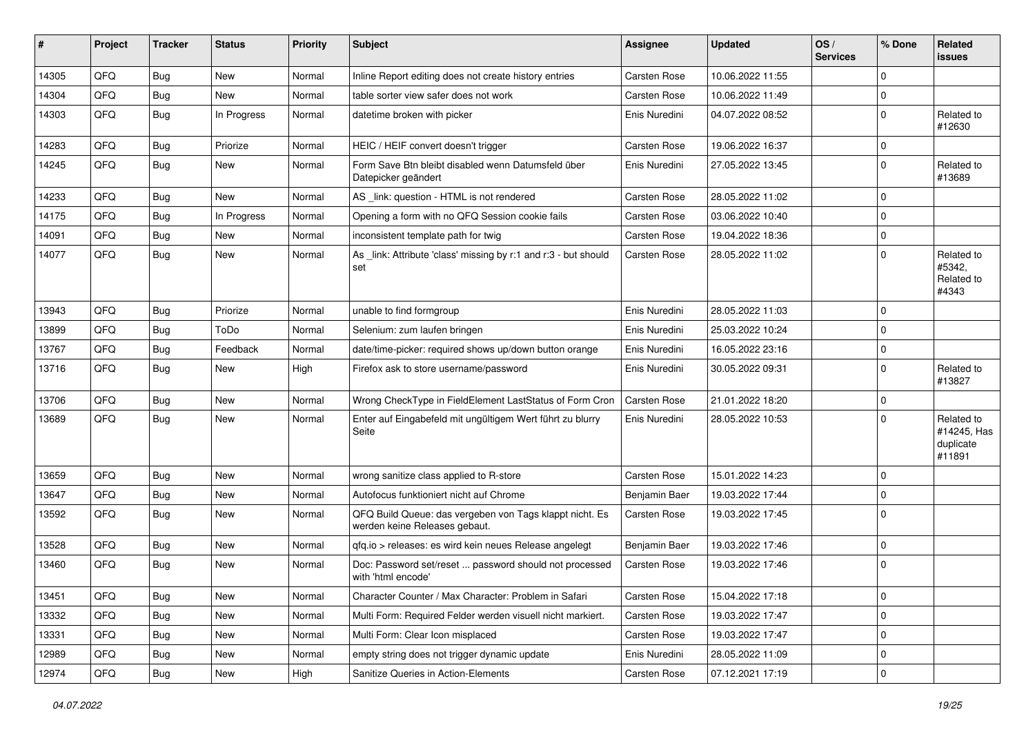| #     | Project | <b>Tracker</b> | <b>Status</b> | <b>Priority</b> | Subject                                                                                  | Assignee            | <b>Updated</b>   | OS/<br><b>Services</b> | % Done      | Related<br><b>issues</b>                         |
|-------|---------|----------------|---------------|-----------------|------------------------------------------------------------------------------------------|---------------------|------------------|------------------------|-------------|--------------------------------------------------|
| 14305 | QFQ     | Bug            | <b>New</b>    | Normal          | Inline Report editing does not create history entries                                    | Carsten Rose        | 10.06.2022 11:55 |                        | $\mathbf 0$ |                                                  |
| 14304 | QFQ     | Bug            | New           | Normal          | table sorter view safer does not work                                                    | Carsten Rose        | 10.06.2022 11:49 |                        | $\mathbf 0$ |                                                  |
| 14303 | QFQ     | Bug            | In Progress   | Normal          | datetime broken with picker                                                              | Enis Nuredini       | 04.07.2022 08:52 |                        | $\Omega$    | Related to<br>#12630                             |
| 14283 | QFQ     | <b>Bug</b>     | Priorize      | Normal          | HEIC / HEIF convert doesn't trigger                                                      | <b>Carsten Rose</b> | 19.06.2022 16:37 |                        | $\mathbf 0$ |                                                  |
| 14245 | QFQ     | Bug            | <b>New</b>    | Normal          | Form Save Btn bleibt disabled wenn Datumsfeld über<br>Datepicker geändert                | Enis Nuredini       | 27.05.2022 13:45 |                        | $\Omega$    | Related to<br>#13689                             |
| 14233 | QFQ     | <b>Bug</b>     | <b>New</b>    | Normal          | AS _link: question - HTML is not rendered                                                | <b>Carsten Rose</b> | 28.05.2022 11:02 |                        | $\mathbf 0$ |                                                  |
| 14175 | QFQ     | Bug            | In Progress   | Normal          | Opening a form with no QFQ Session cookie fails                                          | <b>Carsten Rose</b> | 03.06.2022 10:40 |                        | $\mathbf 0$ |                                                  |
| 14091 | QFQ     | <b>Bug</b>     | New           | Normal          | inconsistent template path for twig                                                      | <b>Carsten Rose</b> | 19.04.2022 18:36 |                        | $\mathbf 0$ |                                                  |
| 14077 | QFQ     | Bug            | <b>New</b>    | Normal          | As _link: Attribute 'class' missing by r:1 and r:3 - but should<br>set                   | <b>Carsten Rose</b> | 28.05.2022 11:02 |                        | $\mathbf 0$ | Related to<br>#5342,<br>Related to<br>#4343      |
| 13943 | QFQ     | <b>Bug</b>     | Priorize      | Normal          | unable to find formgroup                                                                 | Enis Nuredini       | 28.05.2022 11:03 |                        | $\mathbf 0$ |                                                  |
| 13899 | QFQ     | Bug            | ToDo          | Normal          | Selenium: zum laufen bringen                                                             | Enis Nuredini       | 25.03.2022 10:24 |                        | $\mathbf 0$ |                                                  |
| 13767 | QFQ     | <b>Bug</b>     | Feedback      | Normal          | date/time-picker: required shows up/down button orange                                   | Enis Nuredini       | 16.05.2022 23:16 |                        | $\mathbf 0$ |                                                  |
| 13716 | QFQ     | Bug            | <b>New</b>    | High            | Firefox ask to store username/password                                                   | Enis Nuredini       | 30.05.2022 09:31 |                        | $\mathbf 0$ | Related to<br>#13827                             |
| 13706 | QFQ     | Bug            | <b>New</b>    | Normal          | Wrong CheckType in FieldElement LastStatus of Form Cron                                  | <b>Carsten Rose</b> | 21.01.2022 18:20 |                        | $\mathbf 0$ |                                                  |
| 13689 | QFQ     | Bug            | <b>New</b>    | Normal          | Enter auf Eingabefeld mit ungültigem Wert führt zu blurry<br>Seite                       | Enis Nuredini       | 28.05.2022 10:53 |                        | $\Omega$    | Related to<br>#14245, Has<br>duplicate<br>#11891 |
| 13659 | QFQ     | Bug            | <b>New</b>    | Normal          | wrong sanitize class applied to R-store                                                  | <b>Carsten Rose</b> | 15.01.2022 14:23 |                        | $\mathbf 0$ |                                                  |
| 13647 | QFQ     | <b>Bug</b>     | New           | Normal          | Autofocus funktioniert nicht auf Chrome                                                  | Benjamin Baer       | 19.03.2022 17:44 |                        | $\mathbf 0$ |                                                  |
| 13592 | QFQ     | Bug            | <b>New</b>    | Normal          | QFQ Build Queue: das vergeben von Tags klappt nicht. Es<br>werden keine Releases gebaut. | <b>Carsten Rose</b> | 19.03.2022 17:45 |                        | $\Omega$    |                                                  |
| 13528 | QFQ     | <b>Bug</b>     | <b>New</b>    | Normal          | gfg.io > releases: es wird kein neues Release angelegt                                   | Benjamin Baer       | 19.03.2022 17:46 |                        | 0           |                                                  |
| 13460 | QFQ     | <b>Bug</b>     | <b>New</b>    | Normal          | Doc: Password set/reset  password should not processed<br>with 'html encode'             | <b>Carsten Rose</b> | 19.03.2022 17:46 |                        | $\mathbf 0$ |                                                  |
| 13451 | QFQ     | Bug            | New           | Normal          | Character Counter / Max Character: Problem in Safari                                     | Carsten Rose        | 15.04.2022 17:18 |                        | $\mathsf 0$ |                                                  |
| 13332 | QFQ     | <b>Bug</b>     | New           | Normal          | Multi Form: Required Felder werden visuell nicht markiert.                               | Carsten Rose        | 19.03.2022 17:47 |                        | $\pmb{0}$   |                                                  |
| 13331 | QFQ     | Bug            | New           | Normal          | Multi Form: Clear Icon misplaced                                                         | Carsten Rose        | 19.03.2022 17:47 |                        | $\pmb{0}$   |                                                  |
| 12989 | QFQ     | <b>Bug</b>     | New           | Normal          | empty string does not trigger dynamic update                                             | Enis Nuredini       | 28.05.2022 11:09 |                        | 0           |                                                  |
| 12974 | QFQ     | <b>Bug</b>     | New           | High            | Sanitize Queries in Action-Elements                                                      | Carsten Rose        | 07.12.2021 17:19 |                        | $\mathbf 0$ |                                                  |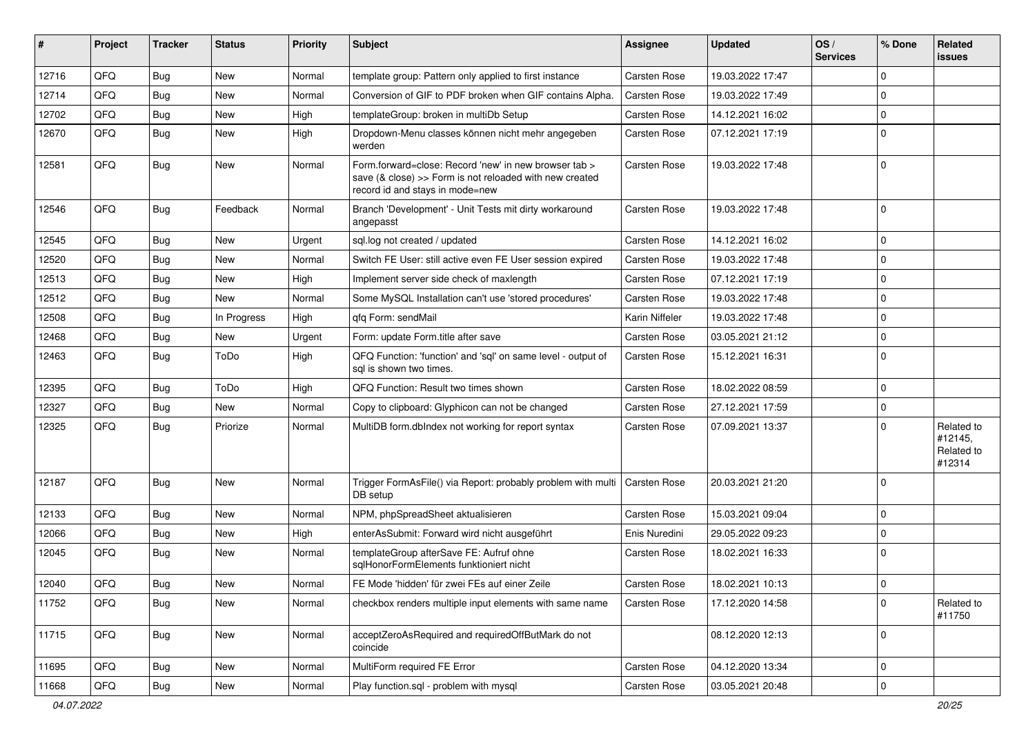| #     | Project | <b>Tracker</b> | <b>Status</b> | <b>Priority</b> | Subject                                                                                                                                             | <b>Assignee</b> | <b>Updated</b>   | OS/<br><b>Services</b> | % Done      | Related<br><b>issues</b>                      |
|-------|---------|----------------|---------------|-----------------|-----------------------------------------------------------------------------------------------------------------------------------------------------|-----------------|------------------|------------------------|-------------|-----------------------------------------------|
| 12716 | QFQ     | Bug            | <b>New</b>    | Normal          | template group: Pattern only applied to first instance                                                                                              | Carsten Rose    | 19.03.2022 17:47 |                        | $\mathbf 0$ |                                               |
| 12714 | QFQ     | Bug            | <b>New</b>    | Normal          | Conversion of GIF to PDF broken when GIF contains Alpha.                                                                                            | Carsten Rose    | 19.03.2022 17:49 |                        | $\mathbf 0$ |                                               |
| 12702 | QFQ     | <b>Bug</b>     | <b>New</b>    | High            | templateGroup: broken in multiDb Setup                                                                                                              | Carsten Rose    | 14.12.2021 16:02 |                        | $\mathbf 0$ |                                               |
| 12670 | QFQ     | <b>Bug</b>     | <b>New</b>    | High            | Dropdown-Menu classes können nicht mehr angegeben<br>werden                                                                                         | Carsten Rose    | 07.12.2021 17:19 |                        | $\mathbf 0$ |                                               |
| 12581 | QFQ     | Bug            | New           | Normal          | Form.forward=close: Record 'new' in new browser tab ><br>save (& close) >> Form is not reloaded with new created<br>record id and stays in mode=new | Carsten Rose    | 19.03.2022 17:48 |                        | $\mathbf 0$ |                                               |
| 12546 | QFQ     | Bug            | Feedback      | Normal          | Branch 'Development' - Unit Tests mit dirty workaround<br>angepasst                                                                                 | Carsten Rose    | 19.03.2022 17:48 |                        | $\mathbf 0$ |                                               |
| 12545 | QFQ     | Bug            | <b>New</b>    | Urgent          | sql.log not created / updated                                                                                                                       | Carsten Rose    | 14.12.2021 16:02 |                        | $\mathbf 0$ |                                               |
| 12520 | QFQ     | Bug            | <b>New</b>    | Normal          | Switch FE User: still active even FE User session expired                                                                                           | Carsten Rose    | 19.03.2022 17:48 |                        | $\mathbf 0$ |                                               |
| 12513 | QFQ     | Bug            | <b>New</b>    | High            | Implement server side check of maxlength                                                                                                            | Carsten Rose    | 07.12.2021 17:19 |                        | $\mathbf 0$ |                                               |
| 12512 | QFQ     | Bug            | <b>New</b>    | Normal          | Some MySQL Installation can't use 'stored procedures'                                                                                               | Carsten Rose    | 19.03.2022 17:48 |                        | $\mathbf 0$ |                                               |
| 12508 | QFQ     | Bug            | In Progress   | High            | gfg Form: sendMail                                                                                                                                  | Karin Niffeler  | 19.03.2022 17:48 |                        | $\mathbf 0$ |                                               |
| 12468 | QFQ     | Bug            | <b>New</b>    | Urgent          | Form: update Form.title after save                                                                                                                  | Carsten Rose    | 03.05.2021 21:12 |                        | $\mathbf 0$ |                                               |
| 12463 | QFQ     | Bug            | ToDo          | High            | QFQ Function: 'function' and 'sql' on same level - output of<br>sql is shown two times.                                                             | Carsten Rose    | 15.12.2021 16:31 |                        | $\mathbf 0$ |                                               |
| 12395 | QFQ     | Bug            | ToDo          | High            | QFQ Function: Result two times shown                                                                                                                | Carsten Rose    | 18.02.2022 08:59 |                        | $\mathbf 0$ |                                               |
| 12327 | QFQ     | Bug            | <b>New</b>    | Normal          | Copy to clipboard: Glyphicon can not be changed                                                                                                     | Carsten Rose    | 27.12.2021 17:59 |                        | $\mathbf 0$ |                                               |
| 12325 | QFQ     | Bug            | Priorize      | Normal          | MultiDB form.dblndex not working for report syntax                                                                                                  | Carsten Rose    | 07.09.2021 13:37 |                        | $\mathbf 0$ | Related to<br>#12145,<br>Related to<br>#12314 |
| 12187 | QFQ     | Bug            | New           | Normal          | Trigger FormAsFile() via Report: probably problem with multi   Carsten Rose<br>DB setup                                                             |                 | 20.03.2021 21:20 |                        | $\mathbf 0$ |                                               |
| 12133 | QFQ     | Bug            | <b>New</b>    | Normal          | NPM, phpSpreadSheet aktualisieren                                                                                                                   | Carsten Rose    | 15.03.2021 09:04 |                        | $\mathbf 0$ |                                               |
| 12066 | QFQ     | Bug            | <b>New</b>    | High            | enterAsSubmit: Forward wird nicht ausgeführt                                                                                                        | Enis Nuredini   | 29.05.2022 09:23 |                        | 0           |                                               |
| 12045 | QFQ     | Bug            | <b>New</b>    | Normal          | templateGroup afterSave FE: Aufruf ohne<br>sqlHonorFormElements funktioniert nicht                                                                  | Carsten Rose    | 18.02.2021 16:33 |                        | $\mathbf 0$ |                                               |
| 12040 | QFQ     | Bug            | New           | Normal          | FE Mode 'hidden' für zwei FEs auf einer Zeile                                                                                                       | Carsten Rose    | 18.02.2021 10:13 |                        | $\pmb{0}$   |                                               |
| 11752 | QFQ     | Bug            | New           | Normal          | checkbox renders multiple input elements with same name                                                                                             | Carsten Rose    | 17.12.2020 14:58 |                        | $\mathbf 0$ | Related to<br>#11750                          |
| 11715 | QFQ     | <b>Bug</b>     | New           | Normal          | acceptZeroAsRequired and requiredOffButMark do not<br>coincide                                                                                      |                 | 08.12.2020 12:13 |                        | $\mathbf 0$ |                                               |
| 11695 | QFQ     | <b>Bug</b>     | New           | Normal          | MultiForm required FE Error                                                                                                                         | Carsten Rose    | 04.12.2020 13:34 |                        | $\mathsf 0$ |                                               |
| 11668 | QFQ     | <b>Bug</b>     | New           | Normal          | Play function.sql - problem with mysql                                                                                                              | Carsten Rose    | 03.05.2021 20:48 |                        | $\mathbf 0$ |                                               |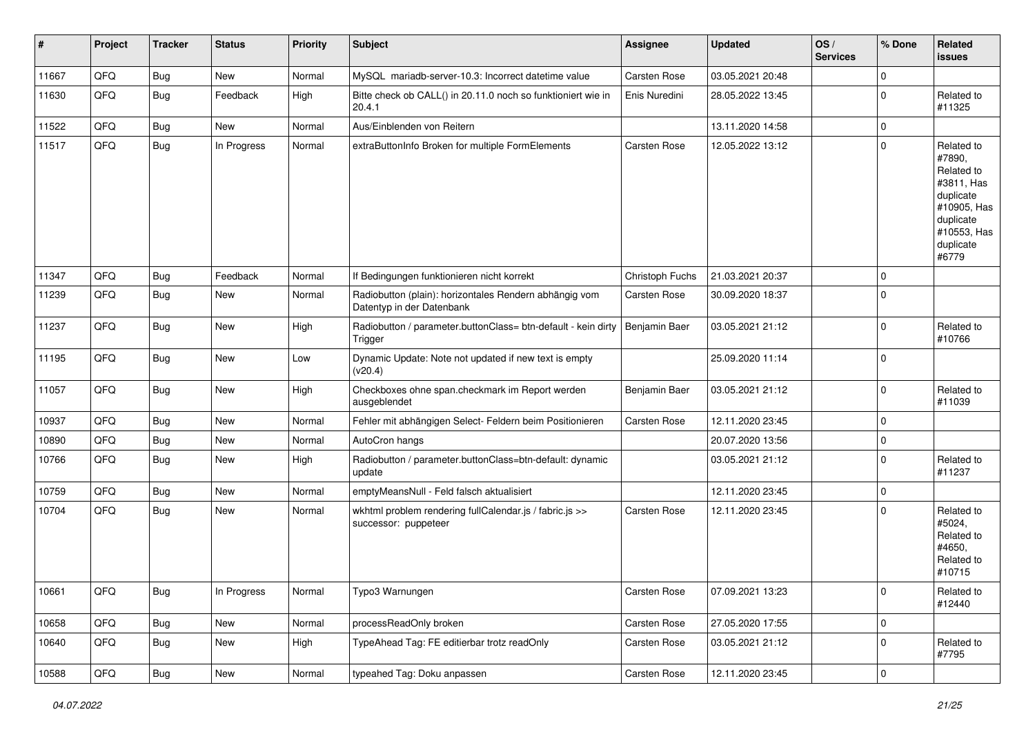| #     | Project | <b>Tracker</b> | <b>Status</b> | <b>Priority</b> | <b>Subject</b>                                                                      | <b>Assignee</b>     | <b>Updated</b>   | OS/<br><b>Services</b> | % Done      | Related<br>issues                                                                                                              |
|-------|---------|----------------|---------------|-----------------|-------------------------------------------------------------------------------------|---------------------|------------------|------------------------|-------------|--------------------------------------------------------------------------------------------------------------------------------|
| 11667 | QFQ     | <b>Bug</b>     | New           | Normal          | MySQL mariadb-server-10.3: Incorrect datetime value                                 | Carsten Rose        | 03.05.2021 20:48 |                        | $\mathbf 0$ |                                                                                                                                |
| 11630 | QFQ     | Bug            | Feedback      | High            | Bitte check ob CALL() in 20.11.0 noch so funktioniert wie in<br>20.4.1              | Enis Nuredini       | 28.05.2022 13:45 |                        | $\pmb{0}$   | Related to<br>#11325                                                                                                           |
| 11522 | QFQ     | <b>Bug</b>     | New           | Normal          | Aus/Einblenden von Reitern                                                          |                     | 13.11.2020 14:58 |                        | $\pmb{0}$   |                                                                                                                                |
| 11517 | QFQ     | <b>Bug</b>     | In Progress   | Normal          | extraButtonInfo Broken for multiple FormElements                                    | Carsten Rose        | 12.05.2022 13:12 |                        | $\pmb{0}$   | Related to<br>#7890,<br>Related to<br>#3811, Has<br>duplicate<br>#10905, Has<br>duplicate<br>#10553, Has<br>duplicate<br>#6779 |
| 11347 | QFQ     | <b>Bug</b>     | Feedback      | Normal          | If Bedingungen funktionieren nicht korrekt                                          | Christoph Fuchs     | 21.03.2021 20:37 |                        | $\mathbf 0$ |                                                                                                                                |
| 11239 | QFQ     | Bug            | New           | Normal          | Radiobutton (plain): horizontales Rendern abhängig vom<br>Datentyp in der Datenbank | Carsten Rose        | 30.09.2020 18:37 |                        | $\pmb{0}$   |                                                                                                                                |
| 11237 | QFQ     | <b>Bug</b>     | New           | High            | Radiobutton / parameter.buttonClass= btn-default - kein dirty<br>Trigger            | Benjamin Baer       | 03.05.2021 21:12 |                        | $\pmb{0}$   | Related to<br>#10766                                                                                                           |
| 11195 | QFQ     | Bug            | <b>New</b>    | Low             | Dynamic Update: Note not updated if new text is empty<br>(v20.4)                    |                     | 25.09.2020 11:14 |                        | $\pmb{0}$   |                                                                                                                                |
| 11057 | QFQ     | Bug            | New           | High            | Checkboxes ohne span.checkmark im Report werden<br>ausgeblendet                     | Benjamin Baer       | 03.05.2021 21:12 |                        | $\mathbf 0$ | Related to<br>#11039                                                                                                           |
| 10937 | QFQ     | <b>Bug</b>     | New           | Normal          | Fehler mit abhängigen Select- Feldern beim Positionieren                            | Carsten Rose        | 12.11.2020 23:45 |                        | $\pmb{0}$   |                                                                                                                                |
| 10890 | QFQ     | Bug            | New           | Normal          | AutoCron hangs                                                                      |                     | 20.07.2020 13:56 |                        | $\pmb{0}$   |                                                                                                                                |
| 10766 | QFQ     | Bug            | <b>New</b>    | High            | Radiobutton / parameter.buttonClass=btn-default: dynamic<br>update                  |                     | 03.05.2021 21:12 |                        | $\mathbf 0$ | Related to<br>#11237                                                                                                           |
| 10759 | QFQ     | <b>Bug</b>     | <b>New</b>    | Normal          | emptyMeansNull - Feld falsch aktualisiert                                           |                     | 12.11.2020 23:45 |                        | $\pmb{0}$   |                                                                                                                                |
| 10704 | QFQ     | <b>Bug</b>     | New           | Normal          | wkhtml problem rendering fullCalendar.js / fabric.js >><br>successor: puppeteer     | <b>Carsten Rose</b> | 12.11.2020 23:45 |                        | $\Omega$    | Related to<br>#5024,<br>Related to<br>#4650,<br>Related to<br>#10715                                                           |
| 10661 | QFQ     | <b>Bug</b>     | In Progress   | Normal          | Typo3 Warnungen                                                                     | Carsten Rose        | 07.09.2021 13:23 |                        | $\mathbf 0$ | Related to<br>#12440                                                                                                           |
| 10658 | QFQ     | <b>Bug</b>     | New           | Normal          | processReadOnly broken                                                              | Carsten Rose        | 27.05.2020 17:55 |                        | $\mathsf 0$ |                                                                                                                                |
| 10640 | QFQ     | <b>Bug</b>     | New           | High            | TypeAhead Tag: FE editierbar trotz readOnly                                         | Carsten Rose        | 03.05.2021 21:12 |                        | $\mathbf 0$ | Related to<br>#7795                                                                                                            |
| 10588 | QFQ     | <b>Bug</b>     | New           | Normal          | typeahed Tag: Doku anpassen                                                         | Carsten Rose        | 12.11.2020 23:45 |                        | $\mathsf 0$ |                                                                                                                                |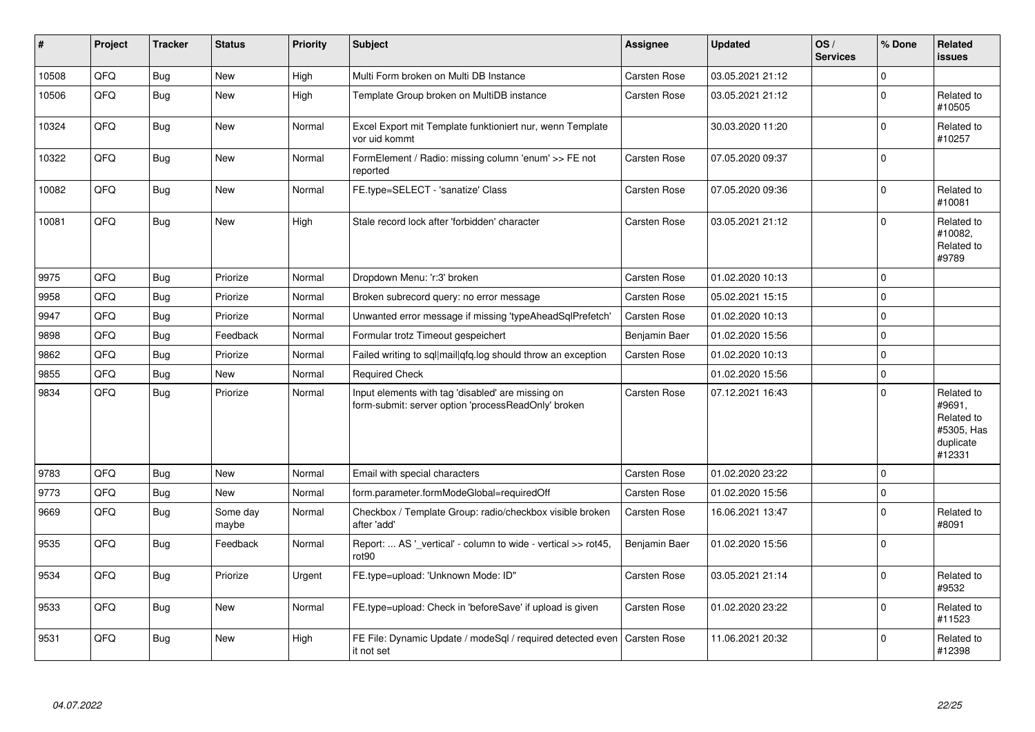| $\sharp$ | Project | <b>Tracker</b> | <b>Status</b>     | <b>Priority</b> | <b>Subject</b>                                                                                           | Assignee            | <b>Updated</b>   | OS/<br><b>Services</b> | % Done      | <b>Related</b><br>issues                                                |
|----------|---------|----------------|-------------------|-----------------|----------------------------------------------------------------------------------------------------------|---------------------|------------------|------------------------|-------------|-------------------------------------------------------------------------|
| 10508    | QFQ     | Bug            | <b>New</b>        | High            | Multi Form broken on Multi DB Instance                                                                   | <b>Carsten Rose</b> | 03.05.2021 21:12 |                        | $\mathbf 0$ |                                                                         |
| 10506    | QFQ     | Bug            | <b>New</b>        | High            | Template Group broken on MultiDB instance                                                                | <b>Carsten Rose</b> | 03.05.2021 21:12 |                        | $\pmb{0}$   | Related to<br>#10505                                                    |
| 10324    | QFQ     | <b>Bug</b>     | <b>New</b>        | Normal          | Excel Export mit Template funktioniert nur, wenn Template<br>vor uid kommt                               |                     | 30.03.2020 11:20 |                        | $\mathbf 0$ | Related to<br>#10257                                                    |
| 10322    | QFQ     | <b>Bug</b>     | <b>New</b>        | Normal          | FormElement / Radio: missing column 'enum' >> FE not<br>reported                                         | <b>Carsten Rose</b> | 07.05.2020 09:37 |                        | $\mathbf 0$ |                                                                         |
| 10082    | QFQ     | <b>Bug</b>     | <b>New</b>        | Normal          | FE.type=SELECT - 'sanatize' Class                                                                        | <b>Carsten Rose</b> | 07.05.2020 09:36 |                        | $\pmb{0}$   | Related to<br>#10081                                                    |
| 10081    | QFQ     | Bug            | <b>New</b>        | High            | Stale record lock after 'forbidden' character                                                            | <b>Carsten Rose</b> | 03.05.2021 21:12 |                        | $\mathbf 0$ | Related to<br>#10082,<br>Related to<br>#9789                            |
| 9975     | QFQ     | Bug            | Priorize          | Normal          | Dropdown Menu: 'r:3' broken                                                                              | Carsten Rose        | 01.02.2020 10:13 |                        | $\mathbf 0$ |                                                                         |
| 9958     | QFQ     | Bug            | Priorize          | Normal          | Broken subrecord query: no error message                                                                 | <b>Carsten Rose</b> | 05.02.2021 15:15 |                        | $\Omega$    |                                                                         |
| 9947     | QFQ     | Bug            | Priorize          | Normal          | Unwanted error message if missing 'typeAheadSqlPrefetch'                                                 | <b>Carsten Rose</b> | 01.02.2020 10:13 |                        | $\mathbf 0$ |                                                                         |
| 9898     | QFQ     | <b>Bug</b>     | Feedback          | Normal          | Formular trotz Timeout gespeichert                                                                       | Benjamin Baer       | 01.02.2020 15:56 |                        | $\mathbf 0$ |                                                                         |
| 9862     | QFQ     | Bug            | Priorize          | Normal          | Failed writing to sql mail qfq.log should throw an exception                                             | <b>Carsten Rose</b> | 01.02.2020 10:13 |                        | $\pmb{0}$   |                                                                         |
| 9855     | QFQ     | Bug            | <b>New</b>        | Normal          | <b>Required Check</b>                                                                                    |                     | 01.02.2020 15:56 |                        | $\pmb{0}$   |                                                                         |
| 9834     | QFQ     | Bug            | Priorize          | Normal          | Input elements with tag 'disabled' are missing on<br>form-submit: server option 'processReadOnly' broken | <b>Carsten Rose</b> | 07.12.2021 16:43 |                        | $\Omega$    | Related to<br>#9691,<br>Related to<br>#5305, Has<br>duplicate<br>#12331 |
| 9783     | QFQ     | Bug            | <b>New</b>        | Normal          | Email with special characters                                                                            | Carsten Rose        | 01.02.2020 23:22 |                        | $\mathbf 0$ |                                                                         |
| 9773     | QFQ     | Bug            | <b>New</b>        | Normal          | form.parameter.formModeGlobal=requiredOff                                                                | <b>Carsten Rose</b> | 01.02.2020 15:56 |                        | 0           |                                                                         |
| 9669     | QFQ     | Bug            | Some day<br>maybe | Normal          | Checkbox / Template Group: radio/checkbox visible broken<br>after 'add'                                  | <b>Carsten Rose</b> | 16.06.2021 13:47 |                        | $\mathbf 0$ | Related to<br>#8091                                                     |
| 9535     | QFQ     | Bug            | Feedback          | Normal          | Report:  AS '_vertical' - column to wide - vertical >> rot45,<br>rot <sub>90</sub>                       | Benjamin Baer       | 01.02.2020 15:56 |                        | $\Omega$    |                                                                         |
| 9534     | QFQ     | Bug            | Priorize          | Urgent          | FE.type=upload: 'Unknown Mode: ID"                                                                       | Carsten Rose        | 03.05.2021 21:14 |                        | $\mathbf 0$ | Related to<br>#9532                                                     |
| 9533     | QFQ     | Bug            | <b>New</b>        | Normal          | FE.type=upload: Check in 'beforeSave' if upload is given                                                 | <b>Carsten Rose</b> | 01.02.2020 23:22 |                        | $\Omega$    | Related to<br>#11523                                                    |
| 9531     | QFQ     | Bug            | New               | High            | FE File: Dynamic Update / modeSql / required detected even<br>it not set                                 | <b>Carsten Rose</b> | 11.06.2021 20:32 |                        | $\mathbf 0$ | Related to<br>#12398                                                    |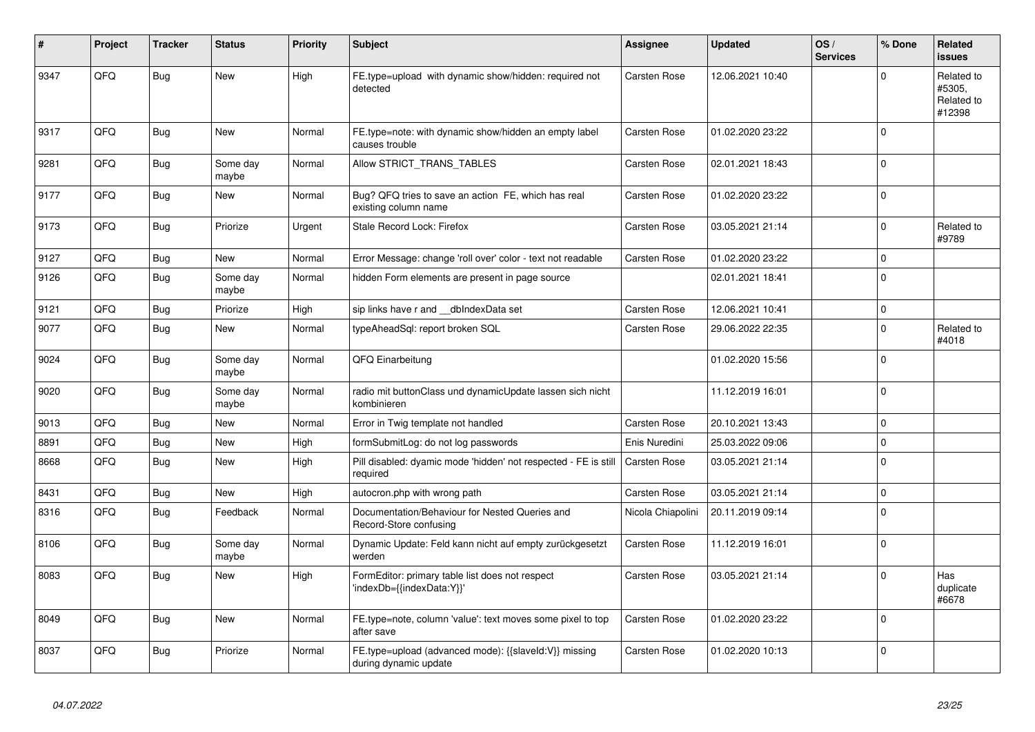| #    | Project | <b>Tracker</b> | <b>Status</b>     | <b>Priority</b> | <b>Subject</b>                                                                 | Assignee            | <b>Updated</b>   | OS/<br><b>Services</b> | % Done       | <b>Related</b><br><b>issues</b>              |
|------|---------|----------------|-------------------|-----------------|--------------------------------------------------------------------------------|---------------------|------------------|------------------------|--------------|----------------------------------------------|
| 9347 | QFQ     | Bug            | <b>New</b>        | High            | FE.type=upload with dynamic show/hidden: required not<br>detected              | Carsten Rose        | 12.06.2021 10:40 |                        | $\Omega$     | Related to<br>#5305.<br>Related to<br>#12398 |
| 9317 | QFQ     | Bug            | <b>New</b>        | Normal          | FE.type=note: with dynamic show/hidden an empty label<br>causes trouble        | Carsten Rose        | 01.02.2020 23:22 |                        | $\mathbf 0$  |                                              |
| 9281 | QFQ     | <b>Bug</b>     | Some day<br>maybe | Normal          | Allow STRICT_TRANS_TABLES                                                      | Carsten Rose        | 02.01.2021 18:43 |                        | $\Omega$     |                                              |
| 9177 | QFQ     | Bug            | <b>New</b>        | Normal          | Bug? QFQ tries to save an action FE, which has real<br>existing column name    | Carsten Rose        | 01.02.2020 23:22 |                        | $\mathsf 0$  |                                              |
| 9173 | QFQ     | Bug            | Priorize          | Urgent          | Stale Record Lock: Firefox                                                     | Carsten Rose        | 03.05.2021 21:14 |                        | $\mathbf 0$  | Related to<br>#9789                          |
| 9127 | QFQ     | Bug            | New               | Normal          | Error Message: change 'roll over' color - text not readable                    | Carsten Rose        | 01.02.2020 23:22 |                        | $\mathbf 0$  |                                              |
| 9126 | QFQ     | <b>Bug</b>     | Some day<br>maybe | Normal          | hidden Form elements are present in page source                                |                     | 02.01.2021 18:41 |                        | $\Omega$     |                                              |
| 9121 | QFQ     | <b>Bug</b>     | Priorize          | High            | sip links have r and dblndexData set                                           | Carsten Rose        | 12.06.2021 10:41 |                        | $\mathbf 0$  |                                              |
| 9077 | QFQ     | <b>Bug</b>     | <b>New</b>        | Normal          | typeAheadSql: report broken SQL                                                | Carsten Rose        | 29.06.2022 22:35 |                        | $\mathbf 0$  | Related to<br>#4018                          |
| 9024 | QFQ     | Bug            | Some day<br>maybe | Normal          | QFQ Einarbeitung                                                               |                     | 01.02.2020 15:56 |                        | $\mathbf{0}$ |                                              |
| 9020 | QFQ     | <b>Bug</b>     | Some day<br>maybe | Normal          | radio mit buttonClass und dynamicUpdate lassen sich nicht<br>kombinieren       |                     | 11.12.2019 16:01 |                        | $\mathbf 0$  |                                              |
| 9013 | QFQ     | Bug            | <b>New</b>        | Normal          | Error in Twig template not handled                                             | Carsten Rose        | 20.10.2021 13:43 |                        | $\pmb{0}$    |                                              |
| 8891 | QFQ     | <b>Bug</b>     | New               | High            | formSubmitLog: do not log passwords                                            | Enis Nuredini       | 25.03.2022 09:06 |                        | $\mathbf 0$  |                                              |
| 8668 | QFQ     | Bug            | <b>New</b>        | High            | Pill disabled: dyamic mode 'hidden' not respected - FE is still<br>required    | <b>Carsten Rose</b> | 03.05.2021 21:14 |                        | $\mathbf 0$  |                                              |
| 8431 | QFQ     | <b>Bug</b>     | <b>New</b>        | High            | autocron.php with wrong path                                                   | <b>Carsten Rose</b> | 03.05.2021 21:14 |                        | $\mathbf 0$  |                                              |
| 8316 | QFQ     | Bug            | Feedback          | Normal          | Documentation/Behaviour for Nested Queries and<br>Record-Store confusing       | Nicola Chiapolini   | 20.11.2019 09:14 |                        | $\mathbf 0$  |                                              |
| 8106 | QFQ     | Bug            | Some day<br>maybe | Normal          | Dynamic Update: Feld kann nicht auf empty zurückgesetzt<br>werden              | Carsten Rose        | 11.12.2019 16:01 |                        | $\mathbf 0$  |                                              |
| 8083 | QFQ     | Bug            | <b>New</b>        | High            | FormEditor: primary table list does not respect<br>'indexDb={{indexData:Y}}'   | Carsten Rose        | 03.05.2021 21:14 |                        | $\mathbf 0$  | Has<br>duplicate<br>#6678                    |
| 8049 | QFQ     | Bug            | <b>New</b>        | Normal          | FE.type=note, column 'value': text moves some pixel to top<br>after save       | Carsten Rose        | 01.02.2020 23:22 |                        | $\mathbf 0$  |                                              |
| 8037 | QFQ     | <b>Bug</b>     | Priorize          | Normal          | FE.type=upload (advanced mode): {{slaveId:V}} missing<br>during dynamic update | Carsten Rose        | 01.02.2020 10:13 |                        | $\Omega$     |                                              |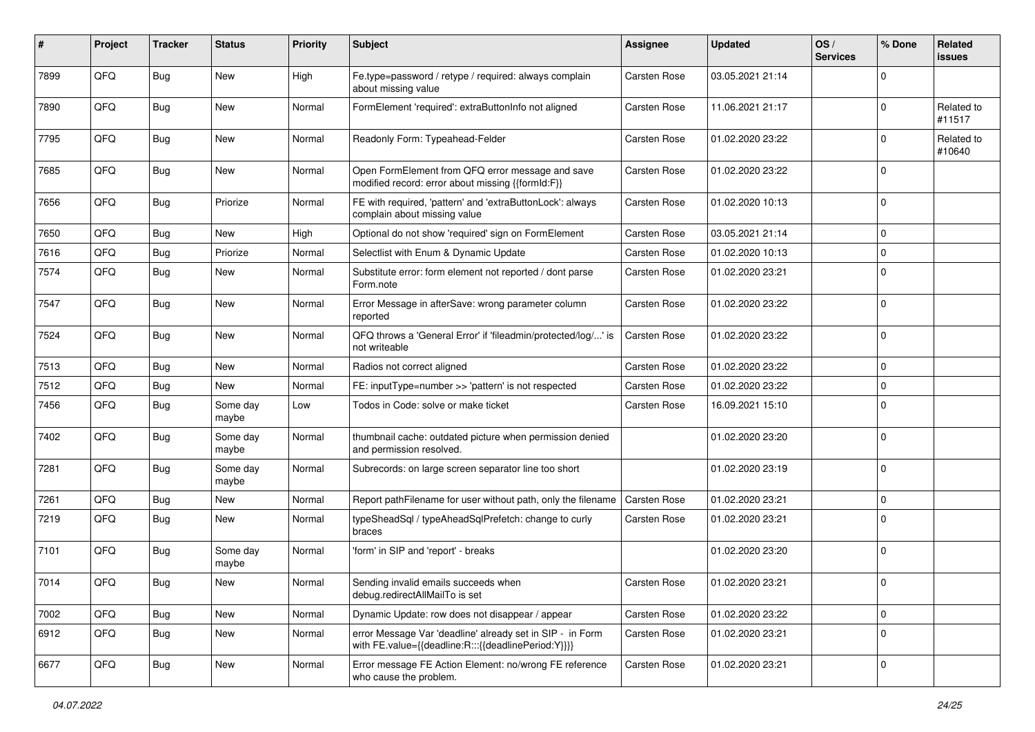| #    | Project | <b>Tracker</b> | <b>Status</b>     | <b>Priority</b> | Subject                                                                                                          | <b>Assignee</b>     | <b>Updated</b>   | OS/<br><b>Services</b> | % Done      | <b>Related</b><br><b>issues</b> |
|------|---------|----------------|-------------------|-----------------|------------------------------------------------------------------------------------------------------------------|---------------------|------------------|------------------------|-------------|---------------------------------|
| 7899 | QFQ     | <b>Bug</b>     | <b>New</b>        | High            | Fe.type=password / retype / required: always complain<br>about missing value                                     | <b>Carsten Rose</b> | 03.05.2021 21:14 |                        | $\mathbf 0$ |                                 |
| 7890 | QFQ     | Bug            | <b>New</b>        | Normal          | FormElement 'required': extraButtonInfo not aligned                                                              | Carsten Rose        | 11.06.2021 21:17 |                        | $\mathbf 0$ | Related to<br>#11517            |
| 7795 | QFQ     | <b>Bug</b>     | <b>New</b>        | Normal          | Readonly Form: Typeahead-Felder                                                                                  | Carsten Rose        | 01.02.2020 23:22 |                        | $\mathbf 0$ | Related to<br>#10640            |
| 7685 | QFQ     | <b>Bug</b>     | <b>New</b>        | Normal          | Open FormElement from QFQ error message and save<br>modified record: error about missing {{formId:F}}            | Carsten Rose        | 01.02.2020 23:22 |                        | $\mathbf 0$ |                                 |
| 7656 | QFQ     | <b>Bug</b>     | Priorize          | Normal          | FE with required, 'pattern' and 'extraButtonLock': always<br>complain about missing value                        | Carsten Rose        | 01.02.2020 10:13 |                        | $\mathbf 0$ |                                 |
| 7650 | QFQ     | <b>Bug</b>     | <b>New</b>        | High            | Optional do not show 'required' sign on FormElement                                                              | Carsten Rose        | 03.05.2021 21:14 |                        | $\mathbf 0$ |                                 |
| 7616 | QFQ     | <b>Bug</b>     | Priorize          | Normal          | Selectlist with Enum & Dynamic Update                                                                            | <b>Carsten Rose</b> | 01.02.2020 10:13 |                        | $\mathbf 0$ |                                 |
| 7574 | QFQ     | <b>Bug</b>     | <b>New</b>        | Normal          | Substitute error: form element not reported / dont parse<br>Form.note                                            | Carsten Rose        | 01.02.2020 23:21 |                        | $\mathbf 0$ |                                 |
| 7547 | QFQ     | Bug            | New               | Normal          | Error Message in afterSave: wrong parameter column<br>reported                                                   | Carsten Rose        | 01.02.2020 23:22 |                        | $\mathbf 0$ |                                 |
| 7524 | QFQ     | <b>Bug</b>     | <b>New</b>        | Normal          | QFQ throws a 'General Error' if 'fileadmin/protected/log/' is<br>not writeable                                   | <b>Carsten Rose</b> | 01.02.2020 23:22 |                        | $\mathbf 0$ |                                 |
| 7513 | QFQ     | <b>Bug</b>     | <b>New</b>        | Normal          | Radios not correct aligned                                                                                       | <b>Carsten Rose</b> | 01.02.2020 23:22 |                        | $\mathbf 0$ |                                 |
| 7512 | QFQ     | Bug            | <b>New</b>        | Normal          | FE: inputType=number >> 'pattern' is not respected                                                               | Carsten Rose        | 01.02.2020 23:22 |                        | $\mathbf 0$ |                                 |
| 7456 | QFQ     | Bug            | Some day<br>maybe | Low             | Todos in Code: solve or make ticket                                                                              | Carsten Rose        | 16.09.2021 15:10 |                        | $\mathbf 0$ |                                 |
| 7402 | QFQ     | <b>Bug</b>     | Some day<br>maybe | Normal          | thumbnail cache: outdated picture when permission denied<br>and permission resolved.                             |                     | 01.02.2020 23:20 |                        | $\mathbf 0$ |                                 |
| 7281 | QFQ     | <b>Bug</b>     | Some day<br>maybe | Normal          | Subrecords: on large screen separator line too short                                                             |                     | 01.02.2020 23:19 |                        | $\mathbf 0$ |                                 |
| 7261 | QFQ     | <b>Bug</b>     | New               | Normal          | Report pathFilename for user without path, only the filename                                                     | Carsten Rose        | 01.02.2020 23:21 |                        | $\mathbf 0$ |                                 |
| 7219 | QFQ     | <b>Bug</b>     | New               | Normal          | typeSheadSql / typeAheadSqlPrefetch: change to curly<br>braces                                                   | Carsten Rose        | 01.02.2020 23:21 |                        | $\mathbf 0$ |                                 |
| 7101 | QFQ     | Bug            | Some day<br>maybe | Normal          | 'form' in SIP and 'report' - breaks                                                                              |                     | 01.02.2020 23:20 |                        | $\mathbf 0$ |                                 |
| 7014 | QFQ     | <b>Bug</b>     | New               | Normal          | Sending invalid emails succeeds when<br>debug.redirectAllMailTo is set                                           | <b>Carsten Rose</b> | 01.02.2020 23:21 |                        | $\mathbf 0$ |                                 |
| 7002 | QFQ     | <b>Bug</b>     | New               | Normal          | Dynamic Update: row does not disappear / appear                                                                  | Carsten Rose        | 01.02.2020 23:22 |                        | $\mathbf 0$ |                                 |
| 6912 | QFQ     | <b>Bug</b>     | New               | Normal          | error Message Var 'deadline' already set in SIP - in Form<br>with FE.value={{deadline:R:::{{deadlinePeriod:Y}}}} | Carsten Rose        | 01.02.2020 23:21 |                        | $\mathbf 0$ |                                 |
| 6677 | QFQ     | Bug            | New               | Normal          | Error message FE Action Element: no/wrong FE reference<br>who cause the problem.                                 | Carsten Rose        | 01.02.2020 23:21 |                        | $\mathbf 0$ |                                 |